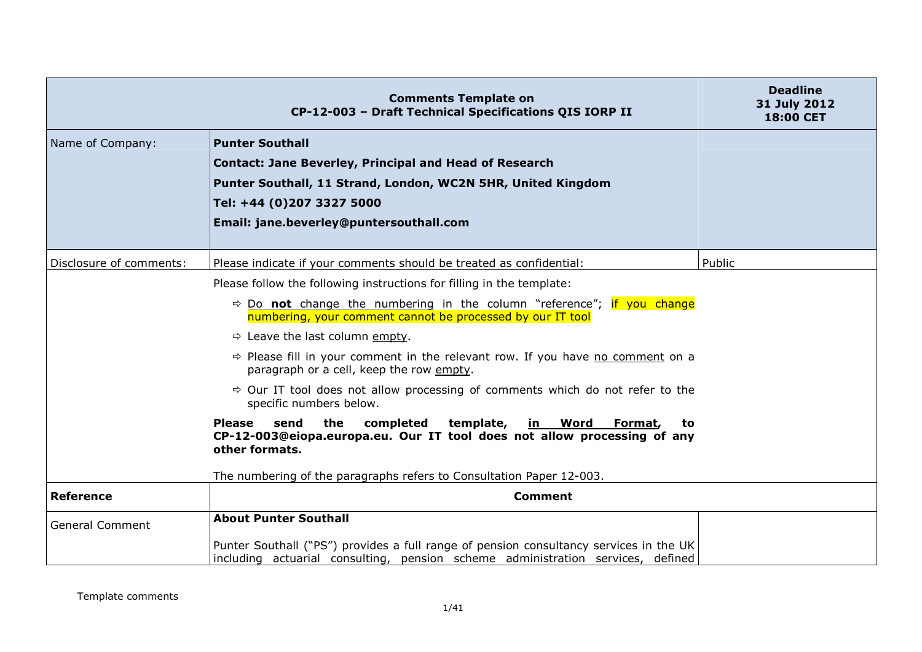|                         | <b>Comments Template on</b><br>CP-12-003 - Draft Technical Specifications QIS IORP II                                                                                                                                                                                                                                                                                                                                                                                                                                                                                                                                                                                                                                                                                                             | <b>Deadline</b><br>31 July 2012<br><b>18:00 CET</b> |
|-------------------------|---------------------------------------------------------------------------------------------------------------------------------------------------------------------------------------------------------------------------------------------------------------------------------------------------------------------------------------------------------------------------------------------------------------------------------------------------------------------------------------------------------------------------------------------------------------------------------------------------------------------------------------------------------------------------------------------------------------------------------------------------------------------------------------------------|-----------------------------------------------------|
| Name of Company:        | <b>Punter Southall</b><br><b>Contact: Jane Beverley, Principal and Head of Research</b><br>Punter Southall, 11 Strand, London, WC2N 5HR, United Kingdom<br>Tel: +44 (0)207 3327 5000<br>Email: jane.beverley@puntersouthall.com                                                                                                                                                                                                                                                                                                                                                                                                                                                                                                                                                                   |                                                     |
| Disclosure of comments: | Please indicate if your comments should be treated as confidential:                                                                                                                                                                                                                                                                                                                                                                                                                                                                                                                                                                                                                                                                                                                               | Public                                              |
|                         | Please follow the following instructions for filling in the template:<br>$\Rightarrow$ Do not change the numbering in the column "reference"; if you change<br>numbering, your comment cannot be processed by our IT tool<br>$\Rightarrow$ Leave the last column empty.<br>$\Rightarrow$ Please fill in your comment in the relevant row. If you have no comment on a<br>paragraph or a cell, keep the row empty.<br>$\Rightarrow$ Our IT tool does not allow processing of comments which do not refer to the<br>specific numbers below.<br>send<br>the<br>completed<br>template,<br>in Word Format,<br><b>Please</b><br>to<br>CP-12-003@eiopa.europa.eu. Our IT tool does not allow processing of any<br>other formats.<br>The numbering of the paragraphs refers to Consultation Paper 12-003. |                                                     |
| <b>Reference</b>        | <b>Comment</b>                                                                                                                                                                                                                                                                                                                                                                                                                                                                                                                                                                                                                                                                                                                                                                                    |                                                     |
| <b>General Comment</b>  | <b>About Punter Southall</b><br>Punter Southall ("PS") provides a full range of pension consultancy services in the UK<br>including actuarial consulting, pension scheme administration services, defined                                                                                                                                                                                                                                                                                                                                                                                                                                                                                                                                                                                         |                                                     |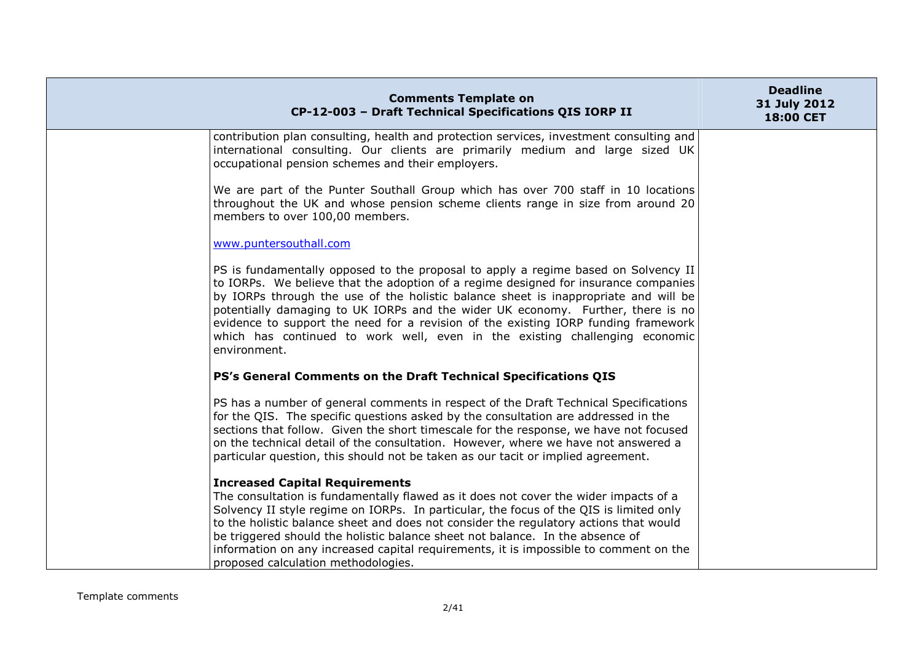| <b>Comments Template on</b><br>CP-12-003 - Draft Technical Specifications QIS IORP II                                                                                                                                                                                                                                                                                                                                                                                                                                                    | <b>Deadline</b><br>31 July 2012<br>18:00 CET |
|------------------------------------------------------------------------------------------------------------------------------------------------------------------------------------------------------------------------------------------------------------------------------------------------------------------------------------------------------------------------------------------------------------------------------------------------------------------------------------------------------------------------------------------|----------------------------------------------|
| contribution plan consulting, health and protection services, investment consulting and<br>international consulting. Our clients are primarily medium and large sized UK<br>occupational pension schemes and their employers.                                                                                                                                                                                                                                                                                                            |                                              |
| We are part of the Punter Southall Group which has over 700 staff in 10 locations<br>throughout the UK and whose pension scheme clients range in size from around 20<br>members to over 100,00 members.                                                                                                                                                                                                                                                                                                                                  |                                              |
| www.puntersouthall.com                                                                                                                                                                                                                                                                                                                                                                                                                                                                                                                   |                                              |
| PS is fundamentally opposed to the proposal to apply a regime based on Solvency II<br>to IORPs. We believe that the adoption of a regime designed for insurance companies<br>by IORPs through the use of the holistic balance sheet is inappropriate and will be<br>potentially damaging to UK IORPs and the wider UK economy. Further, there is no<br>evidence to support the need for a revision of the existing IORP funding framework<br>which has continued to work well, even in the existing challenging economic<br>environment. |                                              |
| PS's General Comments on the Draft Technical Specifications QIS                                                                                                                                                                                                                                                                                                                                                                                                                                                                          |                                              |
| PS has a number of general comments in respect of the Draft Technical Specifications<br>for the QIS. The specific questions asked by the consultation are addressed in the<br>sections that follow. Given the short timescale for the response, we have not focused<br>on the technical detail of the consultation. However, where we have not answered a<br>particular question, this should not be taken as our tacit or implied agreement.                                                                                            |                                              |
| <b>Increased Capital Requirements</b><br>The consultation is fundamentally flawed as it does not cover the wider impacts of a<br>Solvency II style regime on IORPs. In particular, the focus of the QIS is limited only<br>to the holistic balance sheet and does not consider the regulatory actions that would<br>be triggered should the holistic balance sheet not balance. In the absence of<br>information on any increased capital requirements, it is impossible to comment on the<br>proposed calculation methodologies.        |                                              |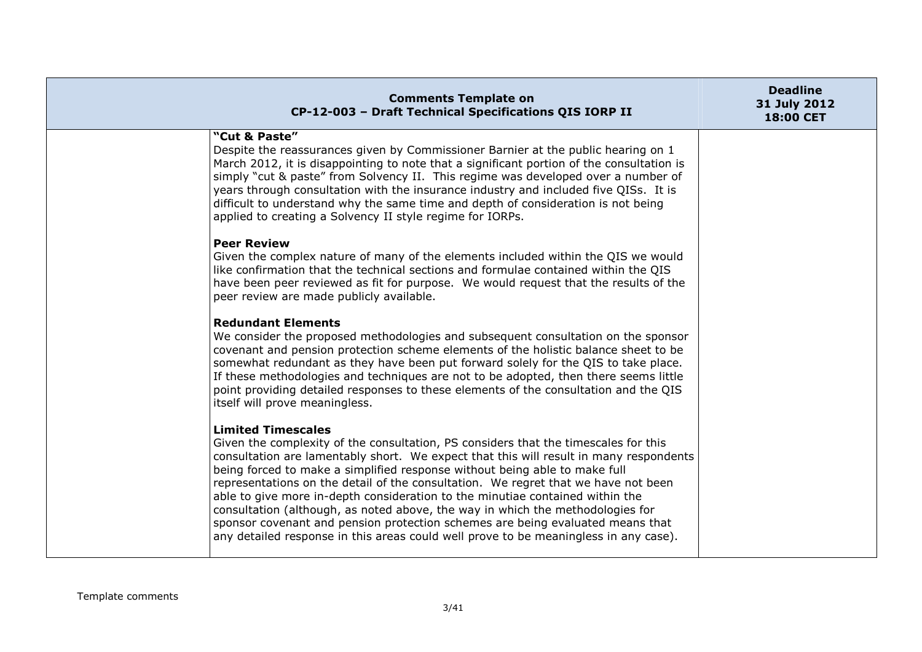| <b>Comments Template on</b><br>CP-12-003 - Draft Technical Specifications QIS IORP II                                                                                                                                                                                                                                                                                                                                                                                                                                                                                                                                                                                                                                       | <b>Deadline</b><br>31 July 2012<br><b>18:00 CET</b> |
|-----------------------------------------------------------------------------------------------------------------------------------------------------------------------------------------------------------------------------------------------------------------------------------------------------------------------------------------------------------------------------------------------------------------------------------------------------------------------------------------------------------------------------------------------------------------------------------------------------------------------------------------------------------------------------------------------------------------------------|-----------------------------------------------------|
| "Cut & Paste"<br>Despite the reassurances given by Commissioner Barnier at the public hearing on 1<br>March 2012, it is disappointing to note that a significant portion of the consultation is<br>simply "cut & paste" from Solvency II. This regime was developed over a number of<br>years through consultation with the insurance industry and included five QISs. It is<br>difficult to understand why the same time and depth of consideration is not being<br>applied to creating a Solvency II style regime for IORPs.                                                                                                                                                                                              |                                                     |
| <b>Peer Review</b><br>Given the complex nature of many of the elements included within the QIS we would<br>like confirmation that the technical sections and formulae contained within the QIS<br>have been peer reviewed as fit for purpose. We would request that the results of the<br>peer review are made publicly available.                                                                                                                                                                                                                                                                                                                                                                                          |                                                     |
| <b>Redundant Elements</b><br>We consider the proposed methodologies and subsequent consultation on the sponsor<br>covenant and pension protection scheme elements of the holistic balance sheet to be<br>somewhat redundant as they have been put forward solely for the QIS to take place.<br>If these methodologies and techniques are not to be adopted, then there seems little<br>point providing detailed responses to these elements of the consultation and the QIS<br>itself will prove meaningless.                                                                                                                                                                                                               |                                                     |
| <b>Limited Timescales</b><br>Given the complexity of the consultation, PS considers that the timescales for this<br>consultation are lamentably short. We expect that this will result in many respondents<br>being forced to make a simplified response without being able to make full<br>representations on the detail of the consultation. We regret that we have not been<br>able to give more in-depth consideration to the minutiae contained within the<br>consultation (although, as noted above, the way in which the methodologies for<br>sponsor covenant and pension protection schemes are being evaluated means that<br>any detailed response in this areas could well prove to be meaningless in any case). |                                                     |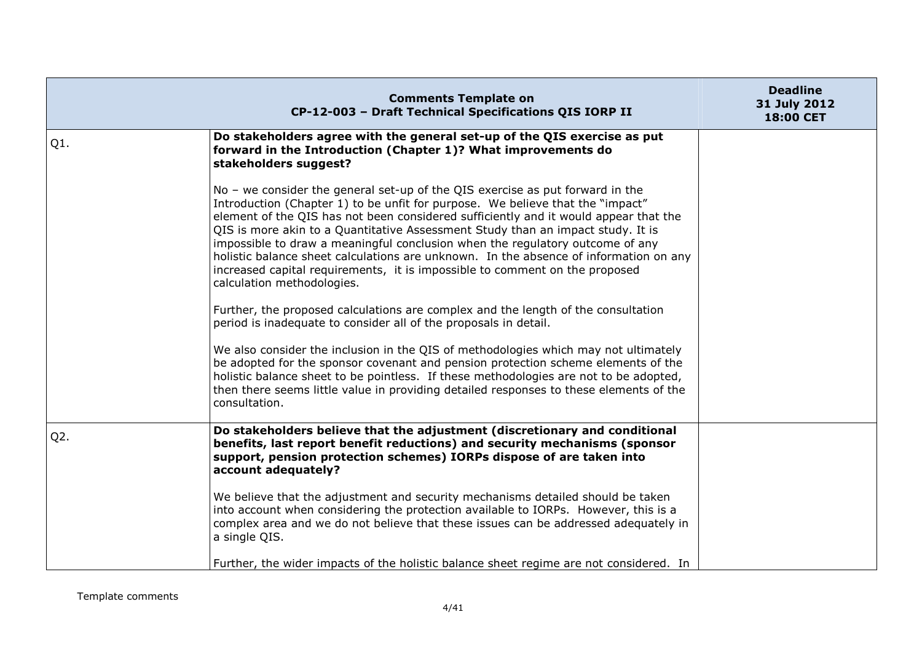|        | <b>Comments Template on</b><br>CP-12-003 - Draft Technical Specifications QIS IORP II                                                                                                                                                                                                                                                                                                                                                                                                                                                                                                                                                                                                                                  | <b>Deadline</b><br>31 July 2012<br>18:00 CET |
|--------|------------------------------------------------------------------------------------------------------------------------------------------------------------------------------------------------------------------------------------------------------------------------------------------------------------------------------------------------------------------------------------------------------------------------------------------------------------------------------------------------------------------------------------------------------------------------------------------------------------------------------------------------------------------------------------------------------------------------|----------------------------------------------|
| $Q1$ . | Do stakeholders agree with the general set-up of the QIS exercise as put<br>forward in the Introduction (Chapter 1)? What improvements do<br>stakeholders suggest?                                                                                                                                                                                                                                                                                                                                                                                                                                                                                                                                                     |                                              |
|        | No - we consider the general set-up of the QIS exercise as put forward in the<br>Introduction (Chapter 1) to be unfit for purpose. We believe that the "impact"<br>element of the QIS has not been considered sufficiently and it would appear that the<br>QIS is more akin to a Quantitative Assessment Study than an impact study. It is<br>impossible to draw a meaningful conclusion when the regulatory outcome of any<br>holistic balance sheet calculations are unknown. In the absence of information on any<br>increased capital requirements, it is impossible to comment on the proposed<br>calculation methodologies.<br>Further, the proposed calculations are complex and the length of the consultation |                                              |
|        | period is inadequate to consider all of the proposals in detail.<br>We also consider the inclusion in the QIS of methodologies which may not ultimately<br>be adopted for the sponsor covenant and pension protection scheme elements of the<br>holistic balance sheet to be pointless. If these methodologies are not to be adopted,<br>then there seems little value in providing detailed responses to these elements of the<br>consultation.                                                                                                                                                                                                                                                                       |                                              |
| $Q2$ . | Do stakeholders believe that the adjustment (discretionary and conditional<br>benefits, last report benefit reductions) and security mechanisms (sponsor<br>support, pension protection schemes) IORPs dispose of are taken into<br>account adequately?<br>We believe that the adjustment and security mechanisms detailed should be taken                                                                                                                                                                                                                                                                                                                                                                             |                                              |
|        | into account when considering the protection available to IORPs. However, this is a<br>complex area and we do not believe that these issues can be addressed adequately in<br>a single QIS.<br>Further, the wider impacts of the holistic balance sheet regime are not considered. In                                                                                                                                                                                                                                                                                                                                                                                                                                  |                                              |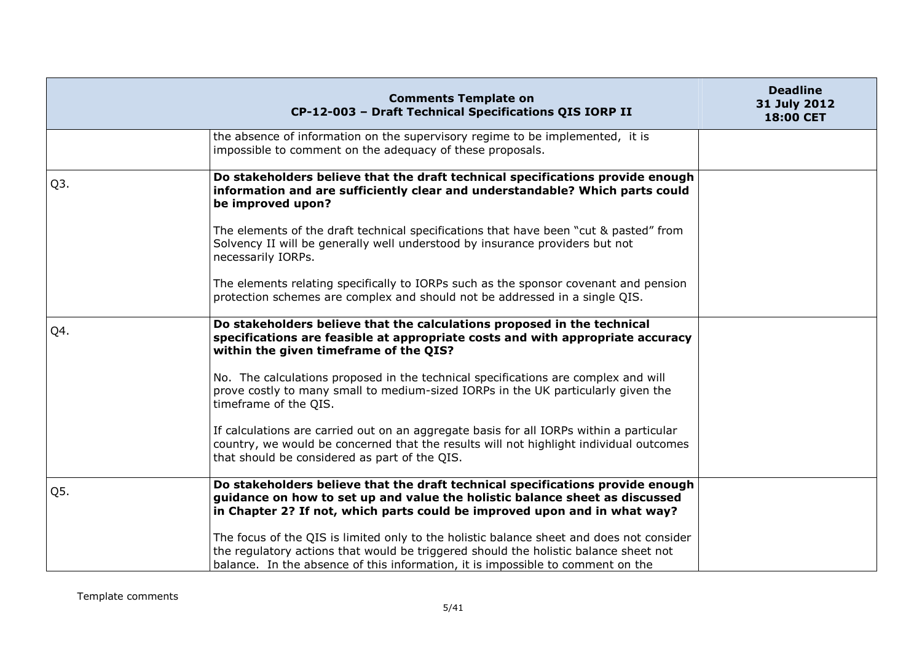|                  | <b>Comments Template on</b><br>CP-12-003 - Draft Technical Specifications QIS IORP II                                                                                                                                                                               | <b>Deadline</b><br>31 July 2012<br>18:00 CET |
|------------------|---------------------------------------------------------------------------------------------------------------------------------------------------------------------------------------------------------------------------------------------------------------------|----------------------------------------------|
|                  | the absence of information on the supervisory regime to be implemented, it is<br>impossible to comment on the adequacy of these proposals.                                                                                                                          |                                              |
| Q <sub>3</sub> . | Do stakeholders believe that the draft technical specifications provide enough<br>information and are sufficiently clear and understandable? Which parts could<br>be improved upon?                                                                                 |                                              |
|                  | The elements of the draft technical specifications that have been "cut & pasted" from<br>Solvency II will be generally well understood by insurance providers but not<br>necessarily IORPs.                                                                         |                                              |
|                  | The elements relating specifically to IORPs such as the sponsor covenant and pension<br>protection schemes are complex and should not be addressed in a single QIS.                                                                                                 |                                              |
| Q4.              | Do stakeholders believe that the calculations proposed in the technical<br>specifications are feasible at appropriate costs and with appropriate accuracy<br>within the given timeframe of the QIS?                                                                 |                                              |
|                  | No. The calculations proposed in the technical specifications are complex and will<br>prove costly to many small to medium-sized IORPs in the UK particularly given the<br>timeframe of the QIS.                                                                    |                                              |
|                  | If calculations are carried out on an aggregate basis for all IORPs within a particular<br>country, we would be concerned that the results will not highlight individual outcomes<br>that should be considered as part of the QIS.                                  |                                              |
| Q5.              | Do stakeholders believe that the draft technical specifications provide enough<br>guidance on how to set up and value the holistic balance sheet as discussed<br>in Chapter 2? If not, which parts could be improved upon and in what way?                          |                                              |
|                  | The focus of the QIS is limited only to the holistic balance sheet and does not consider<br>the regulatory actions that would be triggered should the holistic balance sheet not<br>balance. In the absence of this information, it is impossible to comment on the |                                              |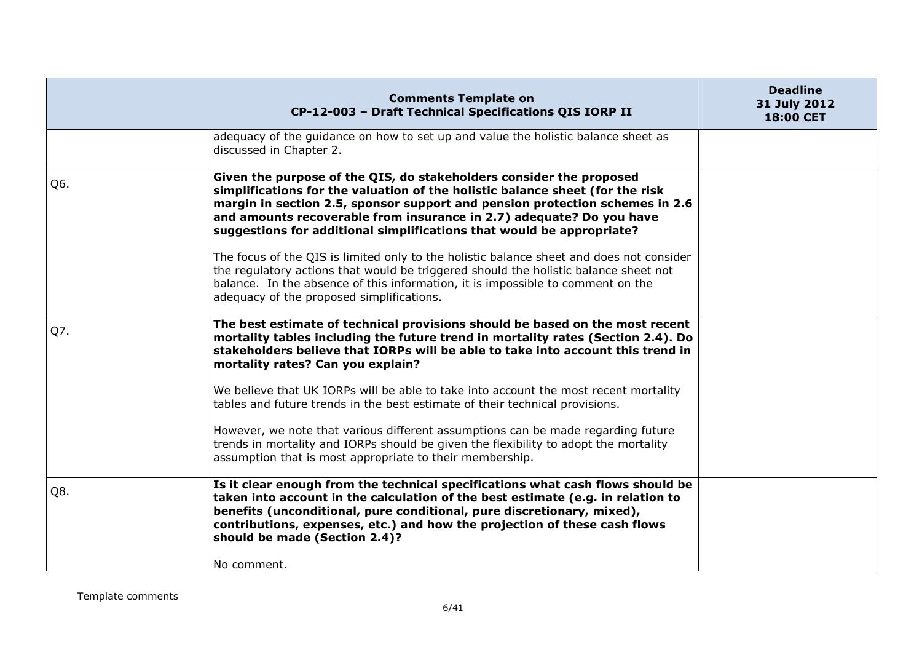|     | <b>Comments Template on</b><br>CP-12-003 - Draft Technical Specifications QIS IORP II                                                                                                                                                                                                                                                                                                                                                                                                                                                                                                                                                                                                                     | <b>Deadline</b><br>31 July 2012<br><b>18:00 CET</b> |
|-----|-----------------------------------------------------------------------------------------------------------------------------------------------------------------------------------------------------------------------------------------------------------------------------------------------------------------------------------------------------------------------------------------------------------------------------------------------------------------------------------------------------------------------------------------------------------------------------------------------------------------------------------------------------------------------------------------------------------|-----------------------------------------------------|
|     | adequacy of the guidance on how to set up and value the holistic balance sheet as<br>discussed in Chapter 2.                                                                                                                                                                                                                                                                                                                                                                                                                                                                                                                                                                                              |                                                     |
| Q6. | Given the purpose of the QIS, do stakeholders consider the proposed<br>simplifications for the valuation of the holistic balance sheet (for the risk<br>margin in section 2.5, sponsor support and pension protection schemes in 2.6<br>and amounts recoverable from insurance in 2.7) adequate? Do you have<br>suggestions for additional simplifications that would be appropriate?<br>The focus of the QIS is limited only to the holistic balance sheet and does not consider<br>the regulatory actions that would be triggered should the holistic balance sheet not<br>balance. In the absence of this information, it is impossible to comment on the<br>adequacy of the proposed simplifications. |                                                     |
| Q7. | The best estimate of technical provisions should be based on the most recent<br>mortality tables including the future trend in mortality rates (Section 2.4). Do<br>stakeholders believe that IORPs will be able to take into account this trend in<br>mortality rates? Can you explain?<br>We believe that UK IORPs will be able to take into account the most recent mortality<br>tables and future trends in the best estimate of their technical provisions.<br>However, we note that various different assumptions can be made regarding future<br>trends in mortality and IORPs should be given the flexibility to adopt the mortality<br>assumption that is most appropriate to their membership.  |                                                     |
| Q8. | Is it clear enough from the technical specifications what cash flows should be<br>taken into account in the calculation of the best estimate (e.g. in relation to<br>benefits (unconditional, pure conditional, pure discretionary, mixed),<br>contributions, expenses, etc.) and how the projection of these cash flows<br>should be made (Section 2.4)?<br>No comment.                                                                                                                                                                                                                                                                                                                                  |                                                     |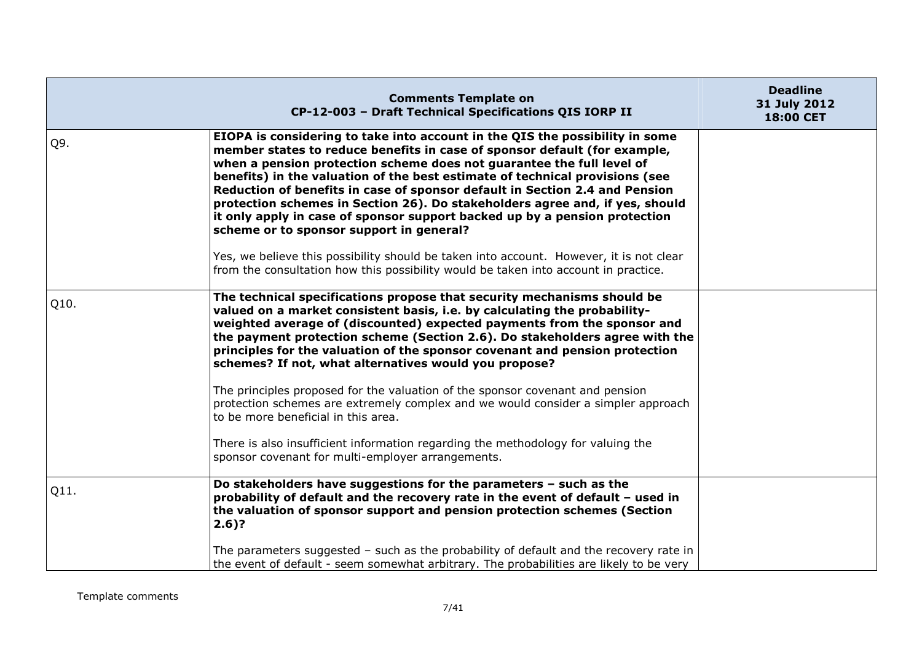|      | <b>Comments Template on</b><br>CP-12-003 - Draft Technical Specifications QIS IORP II                                                                                                                                                                                                                                                                                                                                                                                                                                                                                                                       | <b>Deadline</b><br>31 July 2012<br>18:00 CET |
|------|-------------------------------------------------------------------------------------------------------------------------------------------------------------------------------------------------------------------------------------------------------------------------------------------------------------------------------------------------------------------------------------------------------------------------------------------------------------------------------------------------------------------------------------------------------------------------------------------------------------|----------------------------------------------|
| Q9.  | EIOPA is considering to take into account in the QIS the possibility in some<br>member states to reduce benefits in case of sponsor default (for example,<br>when a pension protection scheme does not guarantee the full level of<br>benefits) in the valuation of the best estimate of technical provisions (see<br>Reduction of benefits in case of sponsor default in Section 2.4 and Pension<br>protection schemes in Section 26). Do stakeholders agree and, if yes, should<br>it only apply in case of sponsor support backed up by a pension protection<br>scheme or to sponsor support in general? |                                              |
|      | Yes, we believe this possibility should be taken into account. However, it is not clear<br>from the consultation how this possibility would be taken into account in practice.                                                                                                                                                                                                                                                                                                                                                                                                                              |                                              |
| Q10. | The technical specifications propose that security mechanisms should be<br>valued on a market consistent basis, i.e. by calculating the probability-<br>weighted average of (discounted) expected payments from the sponsor and<br>the payment protection scheme (Section 2.6). Do stakeholders agree with the<br>principles for the valuation of the sponsor covenant and pension protection<br>schemes? If not, what alternatives would you propose?                                                                                                                                                      |                                              |
|      | The principles proposed for the valuation of the sponsor covenant and pension<br>protection schemes are extremely complex and we would consider a simpler approach<br>to be more beneficial in this area.                                                                                                                                                                                                                                                                                                                                                                                                   |                                              |
|      | There is also insufficient information regarding the methodology for valuing the<br>sponsor covenant for multi-employer arrangements.                                                                                                                                                                                                                                                                                                                                                                                                                                                                       |                                              |
| Q11. | Do stakeholders have suggestions for the parameters - such as the<br>probability of default and the recovery rate in the event of default - used in<br>the valuation of sponsor support and pension protection schemes (Section<br>$2.6$ ?                                                                                                                                                                                                                                                                                                                                                                  |                                              |
|      | The parameters suggested - such as the probability of default and the recovery rate in<br>the event of default - seem somewhat arbitrary. The probabilities are likely to be very                                                                                                                                                                                                                                                                                                                                                                                                                           |                                              |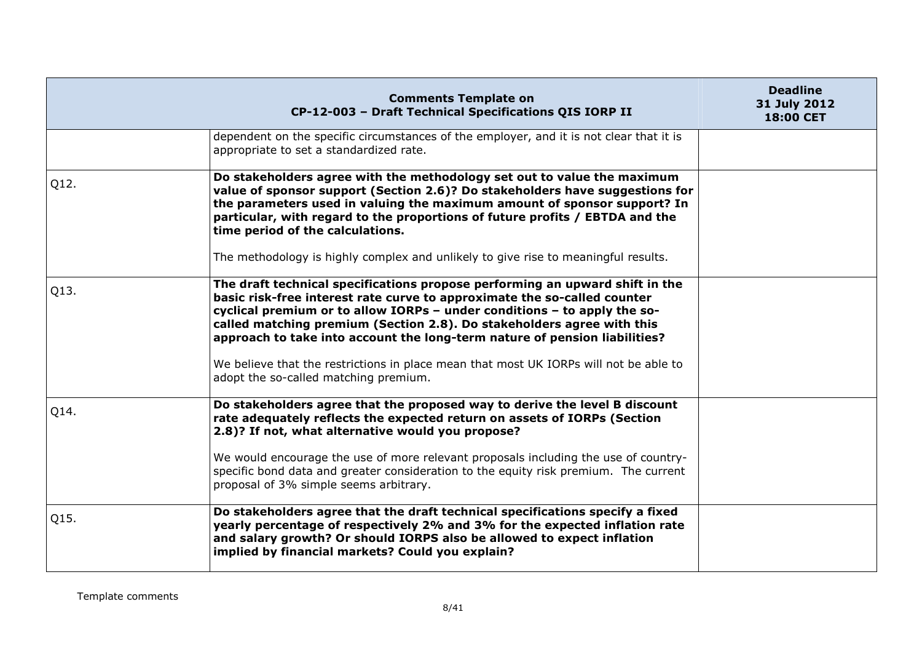|      | <b>Comments Template on</b><br>CP-12-003 - Draft Technical Specifications QIS IORP II                                                                                                                                                                                                                                                                                                                                                                                                                                          | <b>Deadline</b><br>31 July 2012<br><b>18:00 CET</b> |
|------|--------------------------------------------------------------------------------------------------------------------------------------------------------------------------------------------------------------------------------------------------------------------------------------------------------------------------------------------------------------------------------------------------------------------------------------------------------------------------------------------------------------------------------|-----------------------------------------------------|
|      | dependent on the specific circumstances of the employer, and it is not clear that it is<br>appropriate to set a standardized rate.                                                                                                                                                                                                                                                                                                                                                                                             |                                                     |
| Q12. | Do stakeholders agree with the methodology set out to value the maximum<br>value of sponsor support (Section 2.6)? Do stakeholders have suggestions for<br>the parameters used in valuing the maximum amount of sponsor support? In<br>particular, with regard to the proportions of future profits / EBTDA and the<br>time period of the calculations.<br>The methodology is highly complex and unlikely to give rise to meaningful results.                                                                                  |                                                     |
| Q13. | The draft technical specifications propose performing an upward shift in the<br>basic risk-free interest rate curve to approximate the so-called counter<br>cyclical premium or to allow IORPs - under conditions - to apply the so-<br>called matching premium (Section 2.8). Do stakeholders agree with this<br>approach to take into account the long-term nature of pension liabilities?<br>We believe that the restrictions in place mean that most UK IORPs will not be able to<br>adopt the so-called matching premium. |                                                     |
| Q14. | Do stakeholders agree that the proposed way to derive the level B discount<br>rate adequately reflects the expected return on assets of IORPs (Section<br>2.8)? If not, what alternative would you propose?<br>We would encourage the use of more relevant proposals including the use of country-<br>specific bond data and greater consideration to the equity risk premium. The current<br>proposal of 3% simple seems arbitrary.                                                                                           |                                                     |
| Q15. | Do stakeholders agree that the draft technical specifications specify a fixed<br>yearly percentage of respectively 2% and 3% for the expected inflation rate<br>and salary growth? Or should IORPS also be allowed to expect inflation<br>implied by financial markets? Could you explain?                                                                                                                                                                                                                                     |                                                     |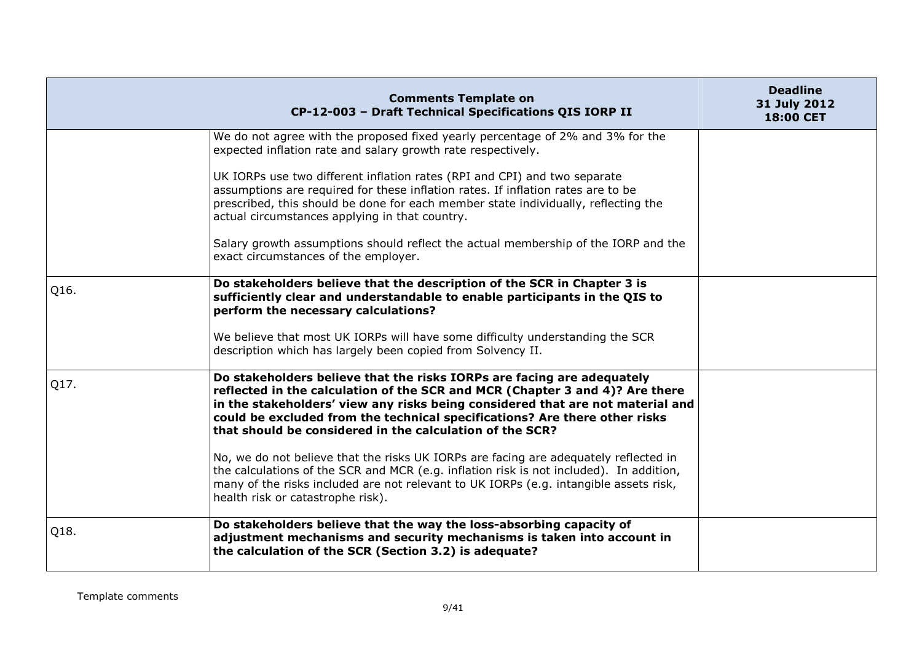|      | <b>Comments Template on</b><br>CP-12-003 - Draft Technical Specifications QIS IORP II                                                                                                                                                                                                                                                                                              | <b>Deadline</b><br>31 July 2012<br>18:00 CET |
|------|------------------------------------------------------------------------------------------------------------------------------------------------------------------------------------------------------------------------------------------------------------------------------------------------------------------------------------------------------------------------------------|----------------------------------------------|
|      | We do not agree with the proposed fixed yearly percentage of 2% and 3% for the<br>expected inflation rate and salary growth rate respectively.                                                                                                                                                                                                                                     |                                              |
|      | UK IORPs use two different inflation rates (RPI and CPI) and two separate<br>assumptions are required for these inflation rates. If inflation rates are to be<br>prescribed, this should be done for each member state individually, reflecting the<br>actual circumstances applying in that country.                                                                              |                                              |
|      | Salary growth assumptions should reflect the actual membership of the IORP and the<br>exact circumstances of the employer.                                                                                                                                                                                                                                                         |                                              |
| Q16. | Do stakeholders believe that the description of the SCR in Chapter 3 is<br>sufficiently clear and understandable to enable participants in the QIS to<br>perform the necessary calculations?                                                                                                                                                                                       |                                              |
|      | We believe that most UK IORPs will have some difficulty understanding the SCR<br>description which has largely been copied from Solvency II.                                                                                                                                                                                                                                       |                                              |
| Q17. | Do stakeholders believe that the risks IORPs are facing are adequately<br>reflected in the calculation of the SCR and MCR (Chapter 3 and 4)? Are there<br>in the stakeholders' view any risks being considered that are not material and<br>could be excluded from the technical specifications? Are there other risks<br>that should be considered in the calculation of the SCR? |                                              |
|      | No, we do not believe that the risks UK IORPs are facing are adequately reflected in<br>the calculations of the SCR and MCR (e.g. inflation risk is not included). In addition,<br>many of the risks included are not relevant to UK IORPs (e.g. intangible assets risk,<br>health risk or catastrophe risk).                                                                      |                                              |
| Q18. | Do stakeholders believe that the way the loss-absorbing capacity of<br>adjustment mechanisms and security mechanisms is taken into account in<br>the calculation of the SCR (Section 3.2) is adequate?                                                                                                                                                                             |                                              |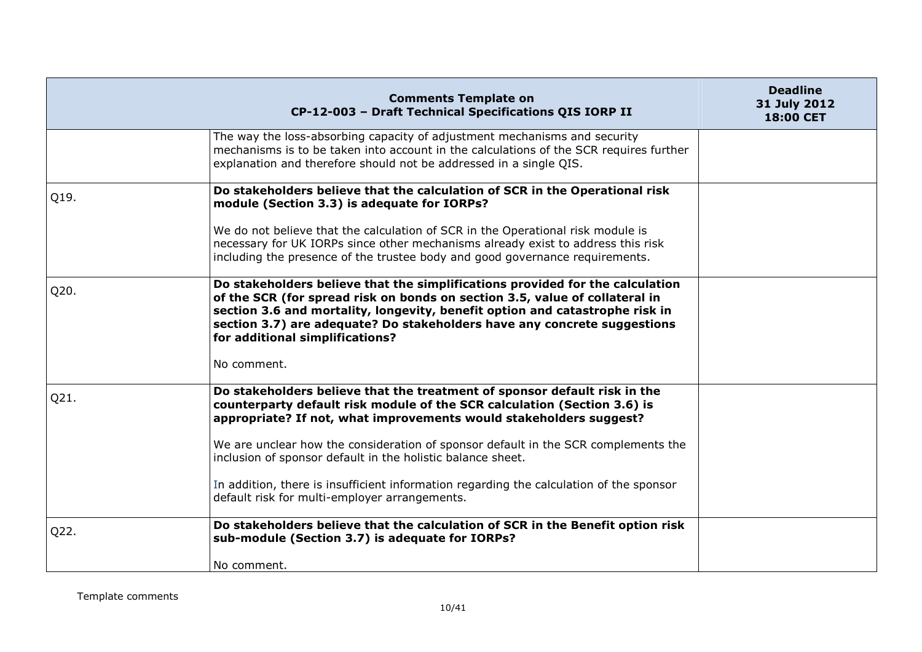|      | <b>Comments Template on</b><br>CP-12-003 - Draft Technical Specifications QIS IORP II                                                                                                                                                                                                                                                                       | <b>Deadline</b><br>31 July 2012<br>18:00 CET |
|------|-------------------------------------------------------------------------------------------------------------------------------------------------------------------------------------------------------------------------------------------------------------------------------------------------------------------------------------------------------------|----------------------------------------------|
|      | The way the loss-absorbing capacity of adjustment mechanisms and security<br>mechanisms is to be taken into account in the calculations of the SCR requires further<br>explanation and therefore should not be addressed in a single QIS.                                                                                                                   |                                              |
| Q19. | Do stakeholders believe that the calculation of SCR in the Operational risk<br>module (Section 3.3) is adequate for IORPs?                                                                                                                                                                                                                                  |                                              |
|      | We do not believe that the calculation of SCR in the Operational risk module is<br>necessary for UK IORPs since other mechanisms already exist to address this risk<br>including the presence of the trustee body and good governance requirements.                                                                                                         |                                              |
| Q20. | Do stakeholders believe that the simplifications provided for the calculation<br>of the SCR (for spread risk on bonds on section 3.5, value of collateral in<br>section 3.6 and mortality, longevity, benefit option and catastrophe risk in<br>section 3.7) are adequate? Do stakeholders have any concrete suggestions<br>for additional simplifications? |                                              |
|      | No comment.                                                                                                                                                                                                                                                                                                                                                 |                                              |
| Q21. | Do stakeholders believe that the treatment of sponsor default risk in the<br>counterparty default risk module of the SCR calculation (Section 3.6) is<br>appropriate? If not, what improvements would stakeholders suggest?                                                                                                                                 |                                              |
|      | We are unclear how the consideration of sponsor default in the SCR complements the<br>inclusion of sponsor default in the holistic balance sheet.                                                                                                                                                                                                           |                                              |
|      | In addition, there is insufficient information regarding the calculation of the sponsor<br>default risk for multi-employer arrangements.                                                                                                                                                                                                                    |                                              |
| Q22. | Do stakeholders believe that the calculation of SCR in the Benefit option risk<br>sub-module (Section 3.7) is adequate for IORPs?                                                                                                                                                                                                                           |                                              |
|      | No comment.                                                                                                                                                                                                                                                                                                                                                 |                                              |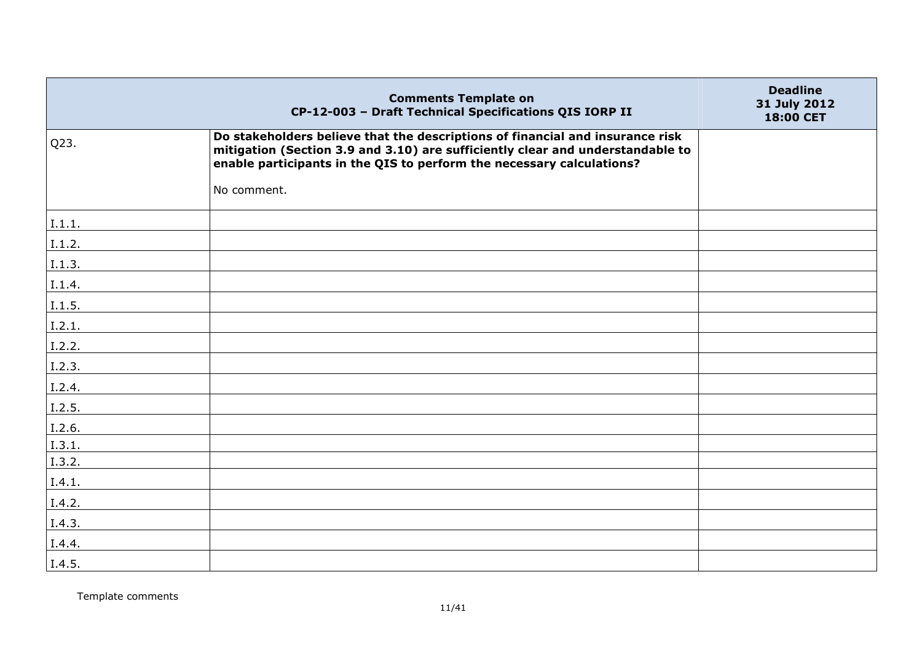|        | <b>Comments Template on</b><br>CP-12-003 - Draft Technical Specifications QIS IORP II                                                                                                                                                    | <b>Deadline</b><br>31 July 2012<br>18:00 CET |
|--------|------------------------------------------------------------------------------------------------------------------------------------------------------------------------------------------------------------------------------------------|----------------------------------------------|
| Q23.   | Do stakeholders believe that the descriptions of financial and insurance risk<br>mitigation (Section 3.9 and 3.10) are sufficiently clear and understandable to<br>enable participants in the QIS to perform the necessary calculations? |                                              |
|        | No comment.                                                                                                                                                                                                                              |                                              |
| I.1.1. |                                                                                                                                                                                                                                          |                                              |
| I.1.2. |                                                                                                                                                                                                                                          |                                              |
| I.1.3. |                                                                                                                                                                                                                                          |                                              |
| I.1.4. |                                                                                                                                                                                                                                          |                                              |
| I.1.5. |                                                                                                                                                                                                                                          |                                              |
| I.2.1. |                                                                                                                                                                                                                                          |                                              |
| I.2.2. |                                                                                                                                                                                                                                          |                                              |
| I.2.3. |                                                                                                                                                                                                                                          |                                              |
| I.2.4. |                                                                                                                                                                                                                                          |                                              |
| I.2.5. |                                                                                                                                                                                                                                          |                                              |
| I.2.6. |                                                                                                                                                                                                                                          |                                              |
| I.3.1. |                                                                                                                                                                                                                                          |                                              |
| I.3.2. |                                                                                                                                                                                                                                          |                                              |
| I.4.1. |                                                                                                                                                                                                                                          |                                              |
| I.4.2. |                                                                                                                                                                                                                                          |                                              |
| I.4.3. |                                                                                                                                                                                                                                          |                                              |
| I.4.4. |                                                                                                                                                                                                                                          |                                              |
| I.4.5. |                                                                                                                                                                                                                                          |                                              |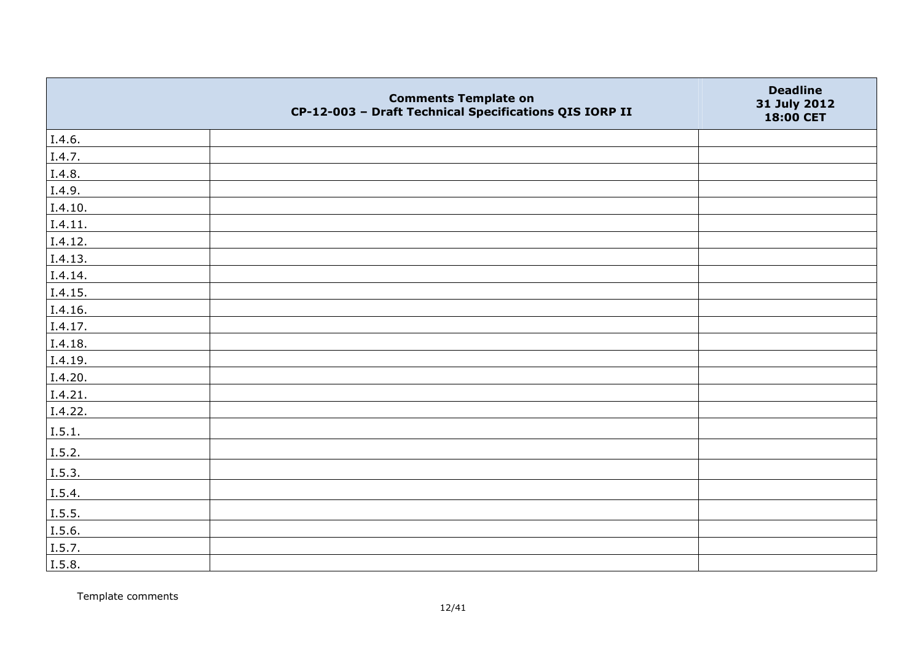|         | <b>Comments Template on</b><br>CP-12-003 - Draft Technical Specifications QIS IORP II | <b>Deadline</b><br>31 July 2012<br>18:00 CET |
|---------|---------------------------------------------------------------------------------------|----------------------------------------------|
| I.4.6.  |                                                                                       |                                              |
| I.4.7.  |                                                                                       |                                              |
| I.4.8.  |                                                                                       |                                              |
| I.4.9.  |                                                                                       |                                              |
| I.4.10. |                                                                                       |                                              |
| I.4.11. |                                                                                       |                                              |
| I.4.12. |                                                                                       |                                              |
| I.4.13. |                                                                                       |                                              |
| I.4.14. |                                                                                       |                                              |
| I.4.15. |                                                                                       |                                              |
| I.4.16. |                                                                                       |                                              |
| I.4.17. |                                                                                       |                                              |
| I.4.18. |                                                                                       |                                              |
| I.4.19. |                                                                                       |                                              |
| I.4.20. |                                                                                       |                                              |
| I.4.21. |                                                                                       |                                              |
| I.4.22. |                                                                                       |                                              |
| I.5.1.  |                                                                                       |                                              |
| I.5.2.  |                                                                                       |                                              |
| I.5.3.  |                                                                                       |                                              |
| I.5.4.  |                                                                                       |                                              |
| I.5.5.  |                                                                                       |                                              |
| I.5.6.  |                                                                                       |                                              |
| I.5.7.  |                                                                                       |                                              |
| I.5.8.  |                                                                                       |                                              |

Template comments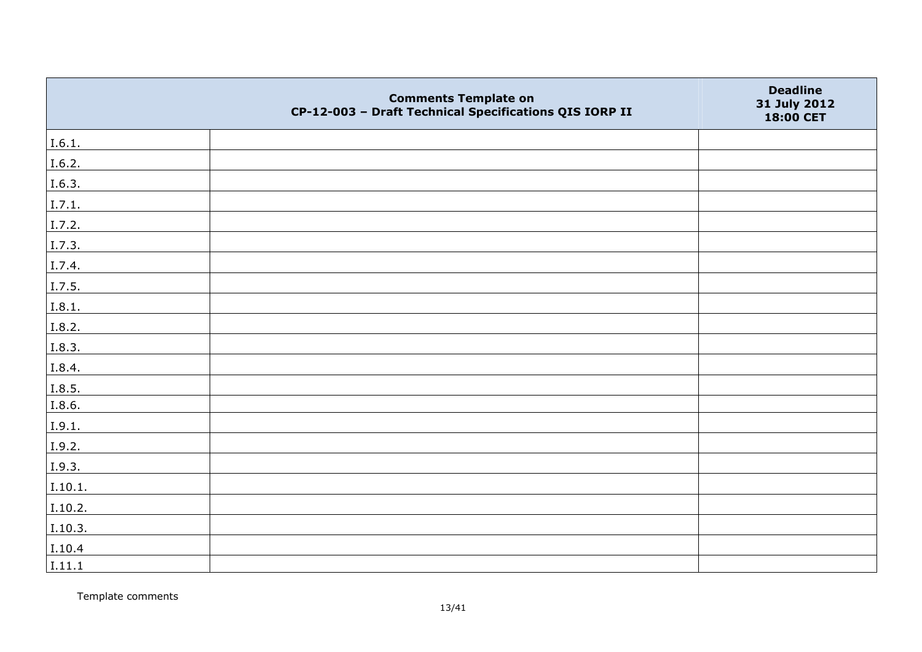|         | <b>Comments Template on</b><br>CP-12-003 - Draft Technical Specifications QIS IORP II | <b>Deadline</b><br>31 July 2012<br>18:00 CET |
|---------|---------------------------------------------------------------------------------------|----------------------------------------------|
| I.6.1.  |                                                                                       |                                              |
| I.6.2.  |                                                                                       |                                              |
| I.6.3.  |                                                                                       |                                              |
| I.7.1.  |                                                                                       |                                              |
| I.7.2.  |                                                                                       |                                              |
| I.7.3.  |                                                                                       |                                              |
| I.7.4.  |                                                                                       |                                              |
| I.7.5.  |                                                                                       |                                              |
| I.8.1.  |                                                                                       |                                              |
| I.8.2.  |                                                                                       |                                              |
| I.8.3.  |                                                                                       |                                              |
| I.8.4.  |                                                                                       |                                              |
| I.8.5.  |                                                                                       |                                              |
| I.8.6.  |                                                                                       |                                              |
| I.9.1.  |                                                                                       |                                              |
| I.9.2.  |                                                                                       |                                              |
| I.9.3.  |                                                                                       |                                              |
| I.10.1. |                                                                                       |                                              |
| I.10.2. |                                                                                       |                                              |
| I.10.3. |                                                                                       |                                              |
| I.10.4  |                                                                                       |                                              |
| I.11.1  |                                                                                       |                                              |

Template comments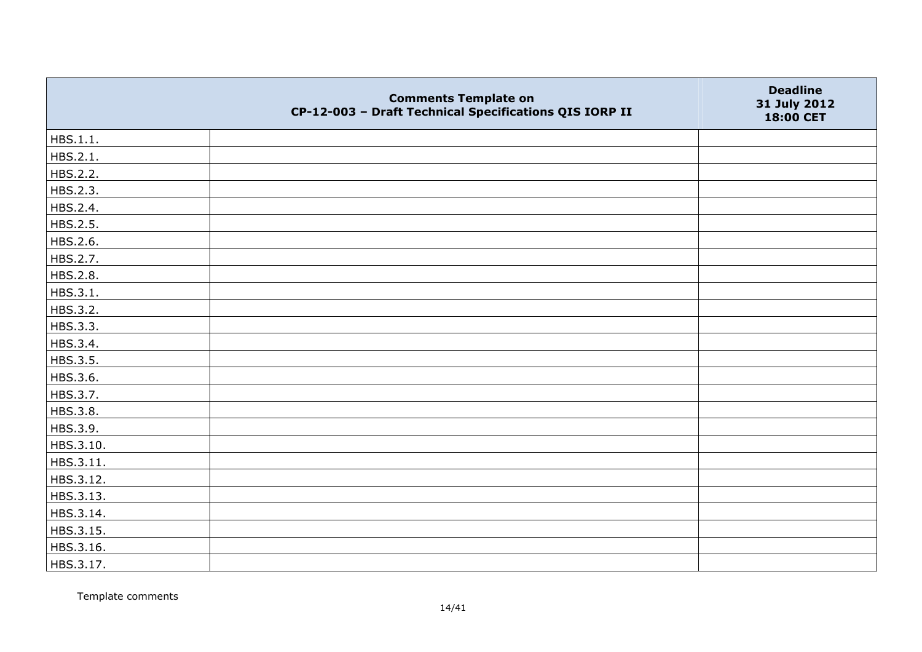|           | <b>Comments Template on</b><br>CP-12-003 - Draft Technical Specifications QIS IORP II | <b>Deadline</b><br>31 July 2012<br>18:00 CET |
|-----------|---------------------------------------------------------------------------------------|----------------------------------------------|
| HBS.1.1.  |                                                                                       |                                              |
| HBS.2.1.  |                                                                                       |                                              |
| HBS.2.2.  |                                                                                       |                                              |
| HBS.2.3.  |                                                                                       |                                              |
| HBS.2.4.  |                                                                                       |                                              |
| HBS.2.5.  |                                                                                       |                                              |
| HBS.2.6.  |                                                                                       |                                              |
| HBS.2.7.  |                                                                                       |                                              |
| HBS.2.8.  |                                                                                       |                                              |
| HBS.3.1.  |                                                                                       |                                              |
| HBS.3.2.  |                                                                                       |                                              |
| HBS.3.3.  |                                                                                       |                                              |
| HBS.3.4.  |                                                                                       |                                              |
| HBS.3.5.  |                                                                                       |                                              |
| HBS.3.6.  |                                                                                       |                                              |
| HBS.3.7.  |                                                                                       |                                              |
| HBS.3.8.  |                                                                                       |                                              |
| HBS.3.9.  |                                                                                       |                                              |
| HBS.3.10. |                                                                                       |                                              |
| HBS.3.11. |                                                                                       |                                              |
| HBS.3.12. |                                                                                       |                                              |
| HBS.3.13. |                                                                                       |                                              |
| HBS.3.14. |                                                                                       |                                              |
| HBS.3.15. |                                                                                       |                                              |
| HBS.3.16. |                                                                                       |                                              |
| HBS.3.17. |                                                                                       |                                              |

Template comments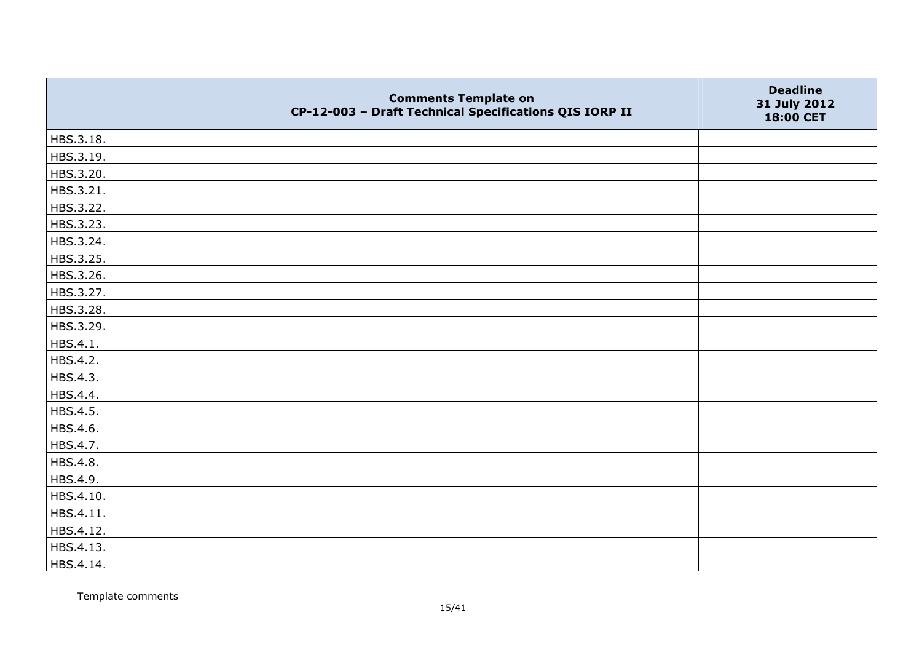|           | <b>Comments Template on</b><br>CP-12-003 - Draft Technical Specifications QIS IORP II | <b>Deadline</b><br>31 July 2012<br>18:00 CET |
|-----------|---------------------------------------------------------------------------------------|----------------------------------------------|
| HBS.3.18. |                                                                                       |                                              |
| HBS.3.19. |                                                                                       |                                              |
| HBS.3.20. |                                                                                       |                                              |
| HBS.3.21. |                                                                                       |                                              |
| HBS.3.22. |                                                                                       |                                              |
| HBS.3.23. |                                                                                       |                                              |
| HBS.3.24. |                                                                                       |                                              |
| HBS.3.25. |                                                                                       |                                              |
| HBS.3.26. |                                                                                       |                                              |
| HBS.3.27. |                                                                                       |                                              |
| HBS.3.28. |                                                                                       |                                              |
| HBS.3.29. |                                                                                       |                                              |
| HBS.4.1.  |                                                                                       |                                              |
| HBS.4.2.  |                                                                                       |                                              |
| HBS.4.3.  |                                                                                       |                                              |
| HBS.4.4.  |                                                                                       |                                              |
| HBS.4.5.  |                                                                                       |                                              |
| HBS.4.6.  |                                                                                       |                                              |
| HBS.4.7.  |                                                                                       |                                              |
| HBS.4.8.  |                                                                                       |                                              |
| HBS.4.9.  |                                                                                       |                                              |
| HBS.4.10. |                                                                                       |                                              |
| HBS.4.11. |                                                                                       |                                              |
| HBS.4.12. |                                                                                       |                                              |
| HBS.4.13. |                                                                                       |                                              |
| HBS.4.14. |                                                                                       |                                              |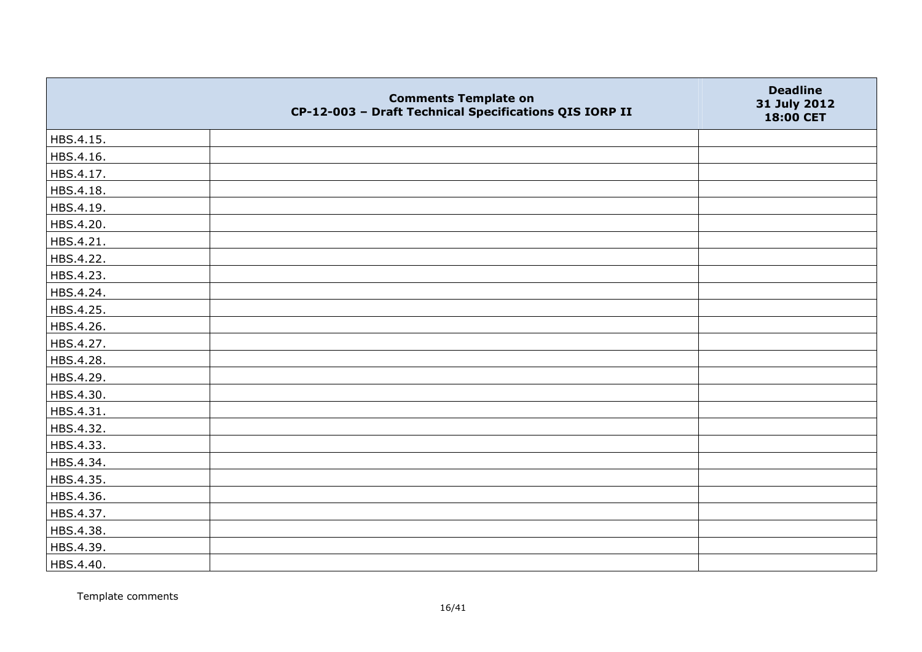|           | <b>Comments Template on</b><br>CP-12-003 - Draft Technical Specifications QIS IORP II | <b>Deadline</b><br>31 July 2012<br>18:00 CET |
|-----------|---------------------------------------------------------------------------------------|----------------------------------------------|
| HBS.4.15. |                                                                                       |                                              |
| HBS.4.16. |                                                                                       |                                              |
| HBS.4.17. |                                                                                       |                                              |
| HBS.4.18. |                                                                                       |                                              |
| HBS.4.19. |                                                                                       |                                              |
| HBS.4.20. |                                                                                       |                                              |
| HBS.4.21. |                                                                                       |                                              |
| HBS.4.22. |                                                                                       |                                              |
| HBS.4.23. |                                                                                       |                                              |
| HBS.4.24. |                                                                                       |                                              |
| HBS.4.25. |                                                                                       |                                              |
| HBS.4.26. |                                                                                       |                                              |
| HBS.4.27. |                                                                                       |                                              |
| HBS.4.28. |                                                                                       |                                              |
| HBS.4.29. |                                                                                       |                                              |
| HBS.4.30. |                                                                                       |                                              |
| HBS.4.31. |                                                                                       |                                              |
| HBS.4.32. |                                                                                       |                                              |
| HBS.4.33. |                                                                                       |                                              |
| HBS.4.34. |                                                                                       |                                              |
| HBS.4.35. |                                                                                       |                                              |
| HBS.4.36. |                                                                                       |                                              |
| HBS.4.37. |                                                                                       |                                              |
| HBS.4.38. |                                                                                       |                                              |
| HBS.4.39. |                                                                                       |                                              |
| HBS.4.40. |                                                                                       |                                              |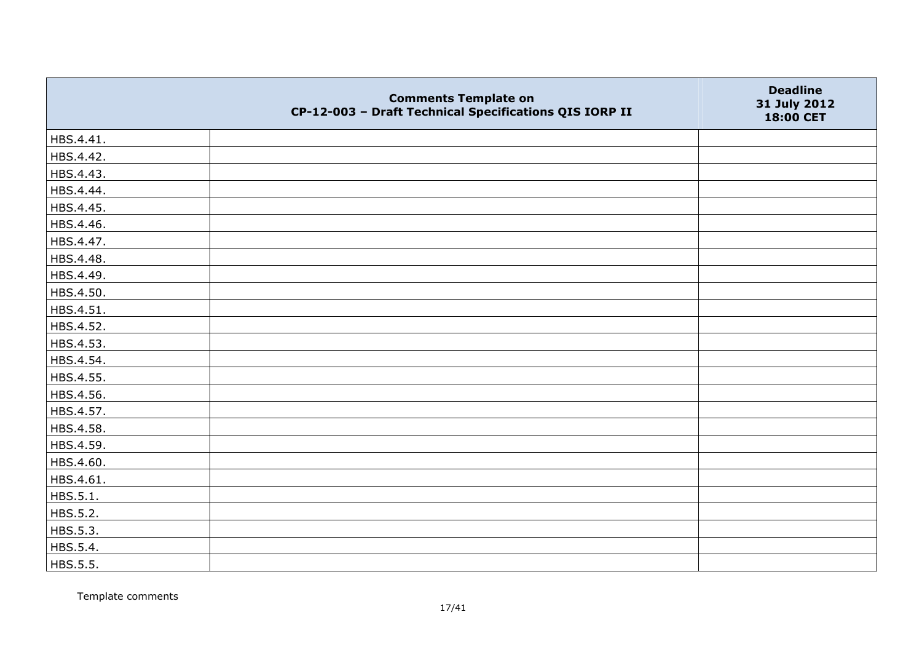|           | <b>Comments Template on</b><br>CP-12-003 - Draft Technical Specifications QIS IORP II | <b>Deadline</b><br>31 July 2012<br>18:00 CET |
|-----------|---------------------------------------------------------------------------------------|----------------------------------------------|
| HBS.4.41. |                                                                                       |                                              |
| HBS.4.42. |                                                                                       |                                              |
| HBS.4.43. |                                                                                       |                                              |
| HBS.4.44. |                                                                                       |                                              |
| HBS.4.45. |                                                                                       |                                              |
| HBS.4.46. |                                                                                       |                                              |
| HBS.4.47. |                                                                                       |                                              |
| HBS.4.48. |                                                                                       |                                              |
| HBS.4.49. |                                                                                       |                                              |
| HBS.4.50. |                                                                                       |                                              |
| HBS.4.51. |                                                                                       |                                              |
| HBS.4.52. |                                                                                       |                                              |
| HBS.4.53. |                                                                                       |                                              |
| HBS.4.54. |                                                                                       |                                              |
| HBS.4.55. |                                                                                       |                                              |
| HBS.4.56. |                                                                                       |                                              |
| HBS.4.57. |                                                                                       |                                              |
| HBS.4.58. |                                                                                       |                                              |
| HBS.4.59. |                                                                                       |                                              |
| HBS.4.60. |                                                                                       |                                              |
| HBS.4.61. |                                                                                       |                                              |
| HBS.5.1.  |                                                                                       |                                              |
| HBS.5.2.  |                                                                                       |                                              |
| HBS.5.3.  |                                                                                       |                                              |
| HBS.5.4.  |                                                                                       |                                              |
| HBS.5.5.  |                                                                                       |                                              |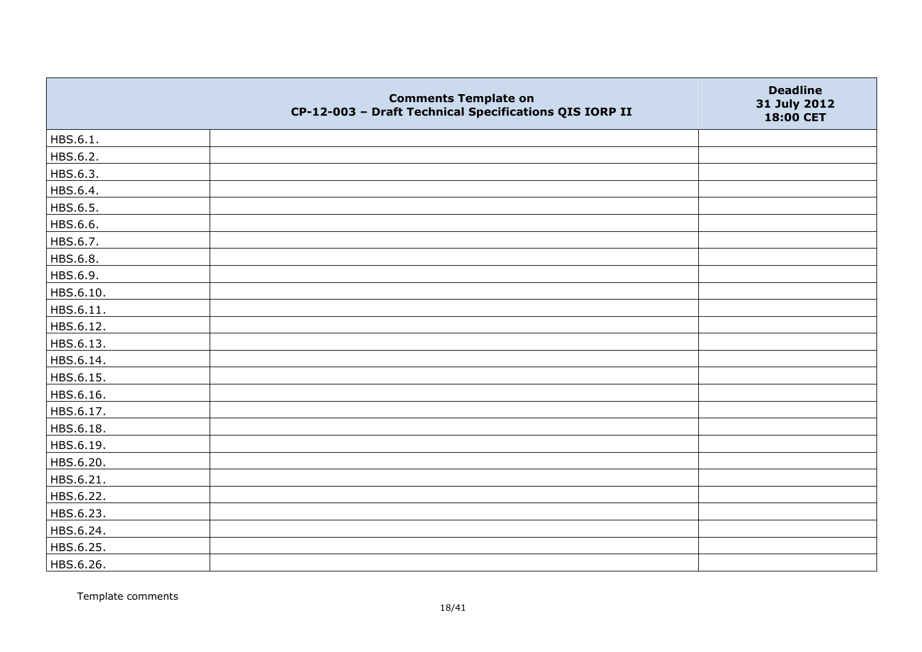|           | <b>Comments Template on</b><br>CP-12-003 - Draft Technical Specifications QIS IORP II | <b>Deadline</b><br>31 July 2012<br>18:00 CET |
|-----------|---------------------------------------------------------------------------------------|----------------------------------------------|
| HBS.6.1.  |                                                                                       |                                              |
| HBS.6.2.  |                                                                                       |                                              |
| HBS.6.3.  |                                                                                       |                                              |
| HBS.6.4.  |                                                                                       |                                              |
| HBS.6.5.  |                                                                                       |                                              |
| HBS.6.6.  |                                                                                       |                                              |
| HBS.6.7.  |                                                                                       |                                              |
| HBS.6.8.  |                                                                                       |                                              |
| HBS.6.9.  |                                                                                       |                                              |
| HBS.6.10. |                                                                                       |                                              |
| HBS.6.11. |                                                                                       |                                              |
| HBS.6.12. |                                                                                       |                                              |
| HBS.6.13. |                                                                                       |                                              |
| HBS.6.14. |                                                                                       |                                              |
| HBS.6.15. |                                                                                       |                                              |
| HBS.6.16. |                                                                                       |                                              |
| HBS.6.17. |                                                                                       |                                              |
| HBS.6.18. |                                                                                       |                                              |
| HBS.6.19. |                                                                                       |                                              |
| HBS.6.20. |                                                                                       |                                              |
| HBS.6.21. |                                                                                       |                                              |
| HBS.6.22. |                                                                                       |                                              |
| HBS.6.23. |                                                                                       |                                              |
| HBS.6.24. |                                                                                       |                                              |
| HBS.6.25. |                                                                                       |                                              |
| HBS.6.26. |                                                                                       |                                              |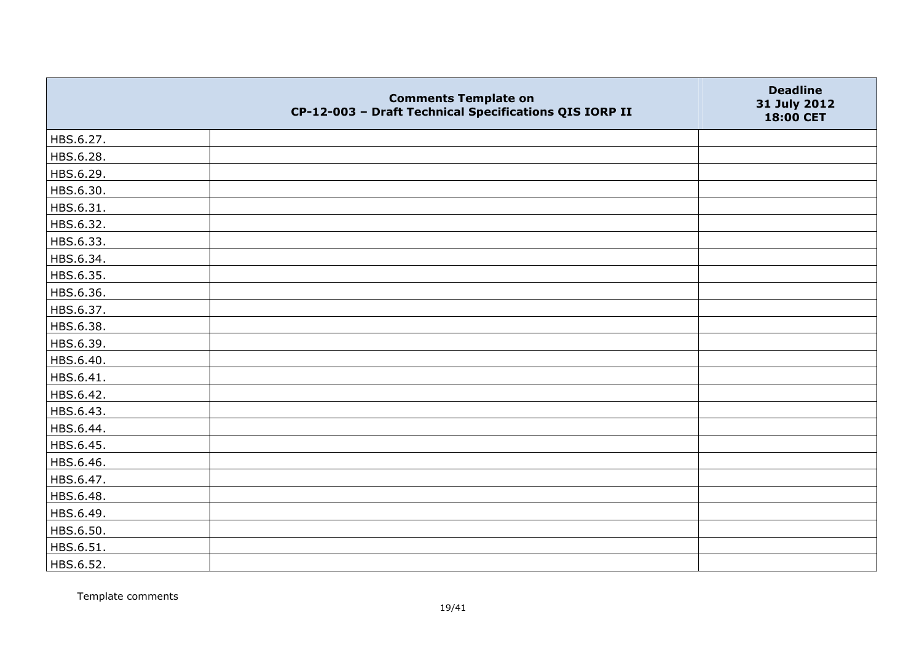|           | <b>Comments Template on</b><br>CP-12-003 - Draft Technical Specifications QIS IORP II | <b>Deadline</b><br>31 July 2012<br>18:00 CET |
|-----------|---------------------------------------------------------------------------------------|----------------------------------------------|
| HBS.6.27. |                                                                                       |                                              |
| HBS.6.28. |                                                                                       |                                              |
| HBS.6.29. |                                                                                       |                                              |
| HBS.6.30. |                                                                                       |                                              |
| HBS.6.31. |                                                                                       |                                              |
| HBS.6.32. |                                                                                       |                                              |
| HBS.6.33. |                                                                                       |                                              |
| HBS.6.34. |                                                                                       |                                              |
| HBS.6.35. |                                                                                       |                                              |
| HBS.6.36. |                                                                                       |                                              |
| HBS.6.37. |                                                                                       |                                              |
| HBS.6.38. |                                                                                       |                                              |
| HBS.6.39. |                                                                                       |                                              |
| HBS.6.40. |                                                                                       |                                              |
| HBS.6.41. |                                                                                       |                                              |
| HBS.6.42. |                                                                                       |                                              |
| HBS.6.43. |                                                                                       |                                              |
| HBS.6.44. |                                                                                       |                                              |
| HBS.6.45. |                                                                                       |                                              |
| HBS.6.46. |                                                                                       |                                              |
| HBS.6.47. |                                                                                       |                                              |
| HBS.6.48. |                                                                                       |                                              |
| HBS.6.49. |                                                                                       |                                              |
| HBS.6.50. |                                                                                       |                                              |
| HBS.6.51. |                                                                                       |                                              |
| HBS.6.52. |                                                                                       |                                              |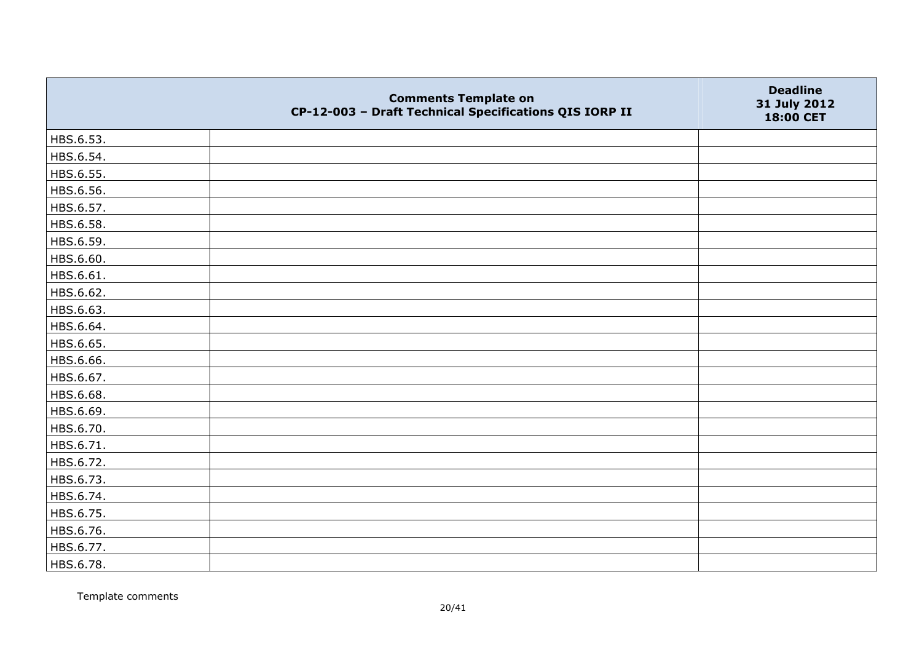|           | <b>Comments Template on</b><br>CP-12-003 - Draft Technical Specifications QIS IORP II | <b>Deadline</b><br>31 July 2012<br>18:00 CET |
|-----------|---------------------------------------------------------------------------------------|----------------------------------------------|
| HBS.6.53. |                                                                                       |                                              |
| HBS.6.54. |                                                                                       |                                              |
| HBS.6.55. |                                                                                       |                                              |
| HBS.6.56. |                                                                                       |                                              |
| HBS.6.57. |                                                                                       |                                              |
| HBS.6.58. |                                                                                       |                                              |
| HBS.6.59. |                                                                                       |                                              |
| HBS.6.60. |                                                                                       |                                              |
| HBS.6.61. |                                                                                       |                                              |
| HBS.6.62. |                                                                                       |                                              |
| HBS.6.63. |                                                                                       |                                              |
| HBS.6.64. |                                                                                       |                                              |
| HBS.6.65. |                                                                                       |                                              |
| HBS.6.66. |                                                                                       |                                              |
| HBS.6.67. |                                                                                       |                                              |
| HBS.6.68. |                                                                                       |                                              |
| HBS.6.69. |                                                                                       |                                              |
| HBS.6.70. |                                                                                       |                                              |
| HBS.6.71. |                                                                                       |                                              |
| HBS.6.72. |                                                                                       |                                              |
| HBS.6.73. |                                                                                       |                                              |
| HBS.6.74. |                                                                                       |                                              |
| HBS.6.75. |                                                                                       |                                              |
| HBS.6.76. |                                                                                       |                                              |
| HBS.6.77. |                                                                                       |                                              |
| HBS.6.78. |                                                                                       |                                              |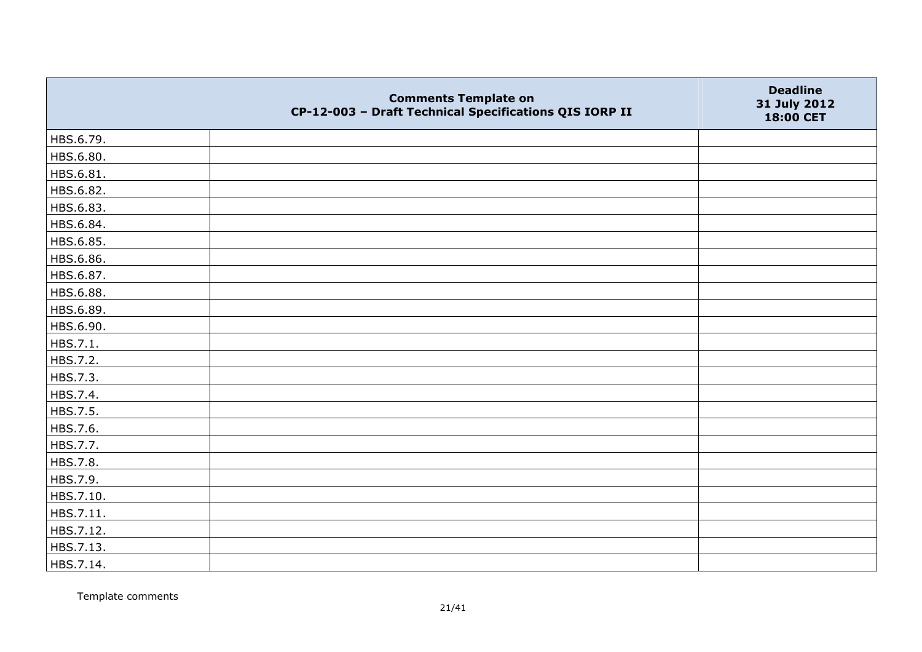|           | <b>Comments Template on</b><br>CP-12-003 - Draft Technical Specifications QIS IORP II | <b>Deadline</b><br>31 July 2012<br>18:00 CET |
|-----------|---------------------------------------------------------------------------------------|----------------------------------------------|
| HBS.6.79. |                                                                                       |                                              |
| HBS.6.80. |                                                                                       |                                              |
| HBS.6.81. |                                                                                       |                                              |
| HBS.6.82. |                                                                                       |                                              |
| HBS.6.83. |                                                                                       |                                              |
| HBS.6.84. |                                                                                       |                                              |
| HBS.6.85. |                                                                                       |                                              |
| HBS.6.86. |                                                                                       |                                              |
| HBS.6.87. |                                                                                       |                                              |
| HBS.6.88. |                                                                                       |                                              |
| HBS.6.89. |                                                                                       |                                              |
| HBS.6.90. |                                                                                       |                                              |
| HBS.7.1.  |                                                                                       |                                              |
| HBS.7.2.  |                                                                                       |                                              |
| HBS.7.3.  |                                                                                       |                                              |
| HBS.7.4.  |                                                                                       |                                              |
| HBS.7.5.  |                                                                                       |                                              |
| HBS.7.6.  |                                                                                       |                                              |
| HBS.7.7.  |                                                                                       |                                              |
| HBS.7.8.  |                                                                                       |                                              |
| HBS.7.9.  |                                                                                       |                                              |
| HBS.7.10. |                                                                                       |                                              |
| HBS.7.11. |                                                                                       |                                              |
| HBS.7.12. |                                                                                       |                                              |
| HBS.7.13. |                                                                                       |                                              |
| HBS.7.14. |                                                                                       |                                              |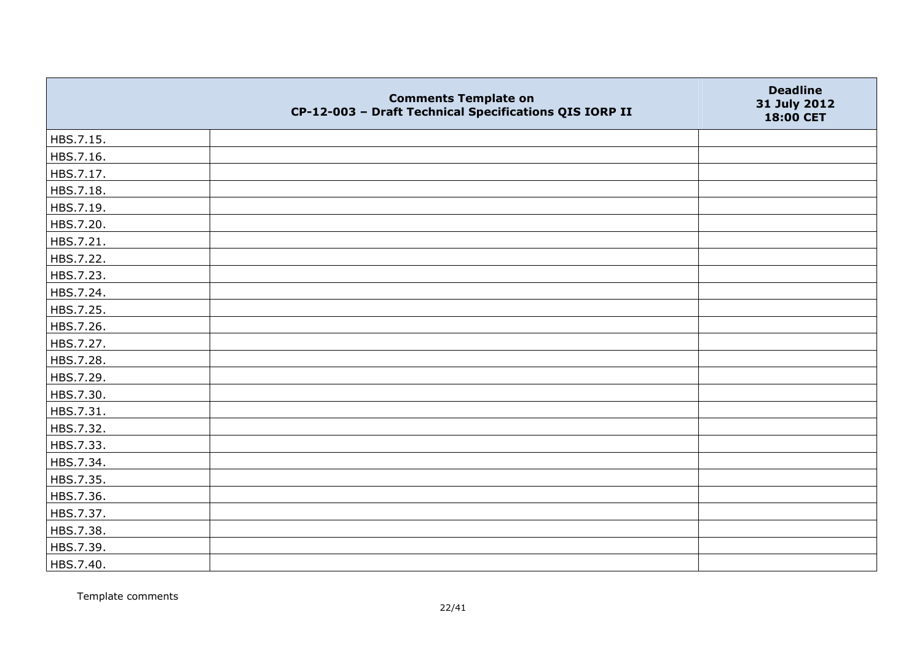|           | <b>Comments Template on</b><br>CP-12-003 - Draft Technical Specifications QIS IORP II | <b>Deadline</b><br>31 July 2012<br>18:00 CET |
|-----------|---------------------------------------------------------------------------------------|----------------------------------------------|
| HBS.7.15. |                                                                                       |                                              |
| HBS.7.16. |                                                                                       |                                              |
| HBS.7.17. |                                                                                       |                                              |
| HBS.7.18. |                                                                                       |                                              |
| HBS.7.19. |                                                                                       |                                              |
| HBS.7.20. |                                                                                       |                                              |
| HBS.7.21. |                                                                                       |                                              |
| HBS.7.22. |                                                                                       |                                              |
| HBS.7.23. |                                                                                       |                                              |
| HBS.7.24. |                                                                                       |                                              |
| HBS.7.25. |                                                                                       |                                              |
| HBS.7.26. |                                                                                       |                                              |
| HBS.7.27. |                                                                                       |                                              |
| HBS.7.28. |                                                                                       |                                              |
| HBS.7.29. |                                                                                       |                                              |
| HBS.7.30. |                                                                                       |                                              |
| HBS.7.31. |                                                                                       |                                              |
| HBS.7.32. |                                                                                       |                                              |
| HBS.7.33. |                                                                                       |                                              |
| HBS.7.34. |                                                                                       |                                              |
| HBS.7.35. |                                                                                       |                                              |
| HBS.7.36. |                                                                                       |                                              |
| HBS.7.37. |                                                                                       |                                              |
| HBS.7.38. |                                                                                       |                                              |
| HBS.7.39. |                                                                                       |                                              |
| HBS.7.40. |                                                                                       |                                              |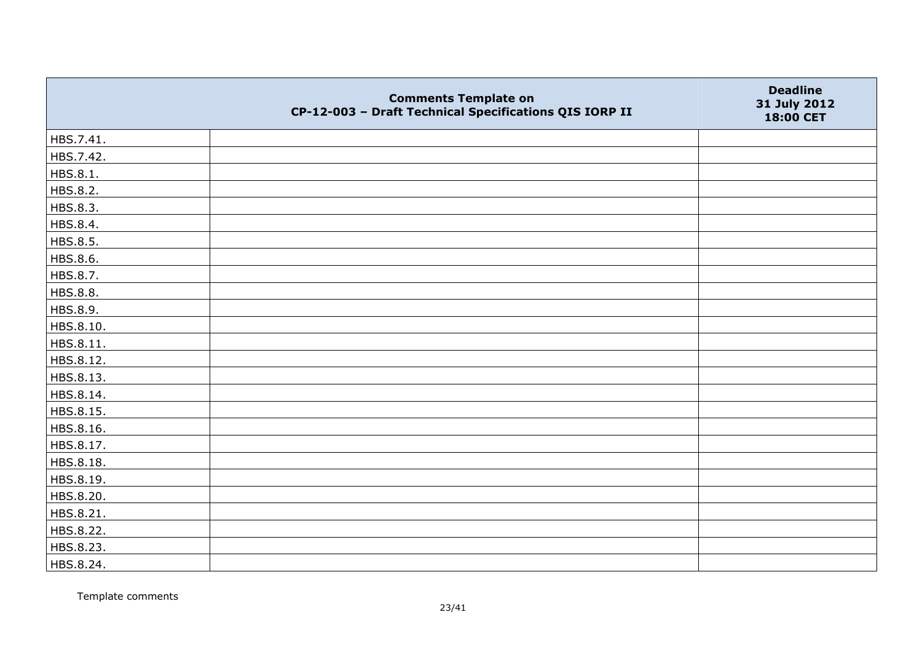|           | <b>Comments Template on</b><br>CP-12-003 - Draft Technical Specifications QIS IORP II | <b>Deadline</b><br>31 July 2012<br>18:00 CET |
|-----------|---------------------------------------------------------------------------------------|----------------------------------------------|
| HBS.7.41. |                                                                                       |                                              |
| HBS.7.42. |                                                                                       |                                              |
| HBS.8.1.  |                                                                                       |                                              |
| HBS.8.2.  |                                                                                       |                                              |
| HBS.8.3.  |                                                                                       |                                              |
| HBS.8.4.  |                                                                                       |                                              |
| HBS.8.5.  |                                                                                       |                                              |
| HBS.8.6.  |                                                                                       |                                              |
| HBS.8.7.  |                                                                                       |                                              |
| HBS.8.8.  |                                                                                       |                                              |
| HBS.8.9.  |                                                                                       |                                              |
| HBS.8.10. |                                                                                       |                                              |
| HBS.8.11. |                                                                                       |                                              |
| HBS.8.12. |                                                                                       |                                              |
| HBS.8.13. |                                                                                       |                                              |
| HBS.8.14. |                                                                                       |                                              |
| HBS.8.15. |                                                                                       |                                              |
| HBS.8.16. |                                                                                       |                                              |
| HBS.8.17. |                                                                                       |                                              |
| HBS.8.18. |                                                                                       |                                              |
| HBS.8.19. |                                                                                       |                                              |
| HBS.8.20. |                                                                                       |                                              |
| HBS.8.21. |                                                                                       |                                              |
| HBS.8.22. |                                                                                       |                                              |
| HBS.8.23. |                                                                                       |                                              |
| HBS.8.24. |                                                                                       |                                              |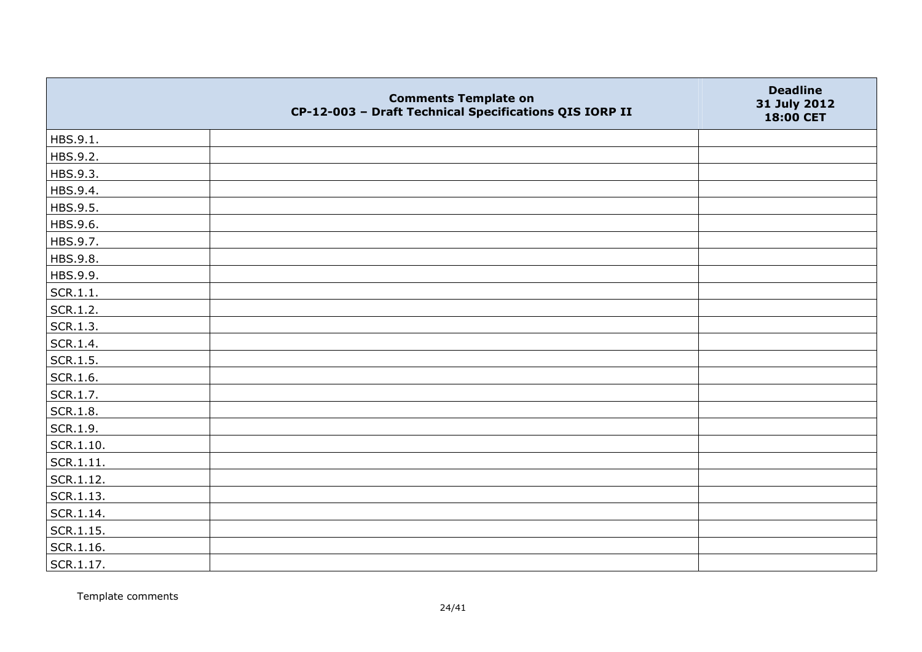|                   | <b>Comments Template on</b><br>CP-12-003 - Draft Technical Specifications QIS IORP II | <b>Deadline</b><br>31 July 2012<br>18:00 CET |
|-------------------|---------------------------------------------------------------------------------------|----------------------------------------------|
| HBS.9.1.          |                                                                                       |                                              |
| HBS.9.2.          |                                                                                       |                                              |
| HBS.9.3.          |                                                                                       |                                              |
| HBS.9.4.          |                                                                                       |                                              |
| HBS.9.5.          |                                                                                       |                                              |
| HBS.9.6.          |                                                                                       |                                              |
| HBS.9.7.          |                                                                                       |                                              |
| HBS.9.8.          |                                                                                       |                                              |
| HBS.9.9.          |                                                                                       |                                              |
| SCR.1.1.          |                                                                                       |                                              |
| SCR.1.2.          |                                                                                       |                                              |
| SCR.1.3.          |                                                                                       |                                              |
| SCR.1.4.          |                                                                                       |                                              |
| SCR.1.5.          |                                                                                       |                                              |
| SCR.1.6.          |                                                                                       |                                              |
| SCR.1.7.          |                                                                                       |                                              |
| SCR.1.8.          |                                                                                       |                                              |
| SCR.1.9.          |                                                                                       |                                              |
| SCR.1.10.         |                                                                                       |                                              |
| SCR.1.11.         |                                                                                       |                                              |
| SCR.1.12.         |                                                                                       |                                              |
| SCR.1.13.         |                                                                                       |                                              |
| SCR.1.14.         |                                                                                       |                                              |
| $\vert$ SCR.1.15. |                                                                                       |                                              |
| SCR.1.16.         |                                                                                       |                                              |
| SCR.1.17.         |                                                                                       |                                              |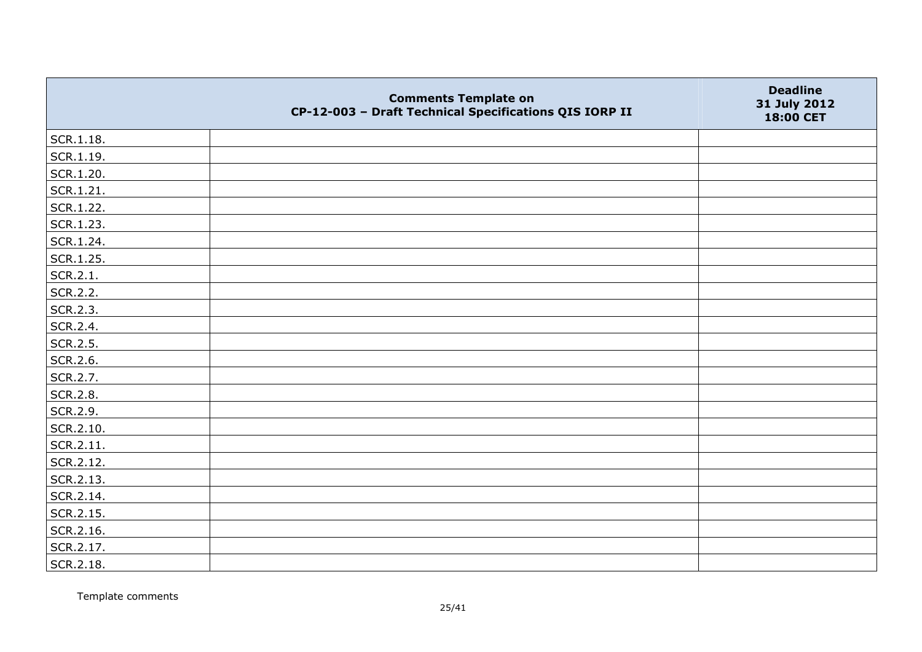|           | <b>Comments Template on</b><br>CP-12-003 - Draft Technical Specifications QIS IORP II | <b>Deadline</b><br>31 July 2012<br>18:00 CET |
|-----------|---------------------------------------------------------------------------------------|----------------------------------------------|
| SCR.1.18. |                                                                                       |                                              |
| SCR.1.19. |                                                                                       |                                              |
| SCR.1.20. |                                                                                       |                                              |
| SCR.1.21. |                                                                                       |                                              |
| SCR.1.22. |                                                                                       |                                              |
| SCR.1.23. |                                                                                       |                                              |
| SCR.1.24. |                                                                                       |                                              |
| SCR.1.25. |                                                                                       |                                              |
| SCR.2.1.  |                                                                                       |                                              |
| SCR.2.2.  |                                                                                       |                                              |
| SCR.2.3.  |                                                                                       |                                              |
| SCR.2.4.  |                                                                                       |                                              |
| SCR.2.5.  |                                                                                       |                                              |
| SCR.2.6.  |                                                                                       |                                              |
| SCR.2.7.  |                                                                                       |                                              |
| SCR.2.8.  |                                                                                       |                                              |
| SCR.2.9.  |                                                                                       |                                              |
| SCR.2.10. |                                                                                       |                                              |
| SCR.2.11. |                                                                                       |                                              |
| SCR.2.12. |                                                                                       |                                              |
| SCR.2.13. |                                                                                       |                                              |
| SCR.2.14. |                                                                                       |                                              |
| SCR.2.15. |                                                                                       |                                              |
| SCR.2.16. |                                                                                       |                                              |
| SCR.2.17. |                                                                                       |                                              |
| SCR.2.18. |                                                                                       |                                              |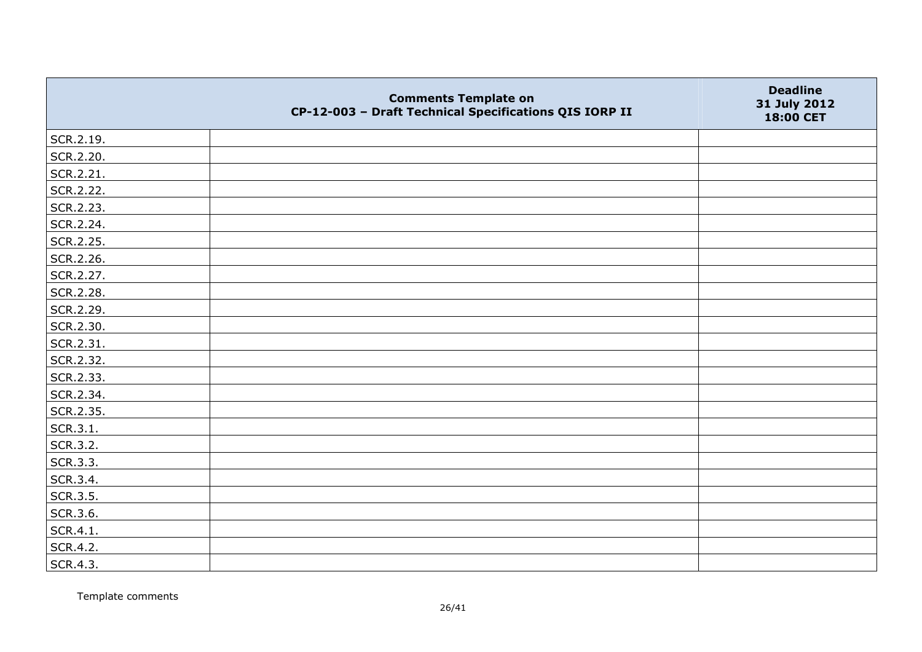|           | <b>Comments Template on</b><br>CP-12-003 - Draft Technical Specifications QIS IORP II | <b>Deadline</b><br>31 July 2012<br>18:00 CET |
|-----------|---------------------------------------------------------------------------------------|----------------------------------------------|
| SCR.2.19. |                                                                                       |                                              |
| SCR.2.20. |                                                                                       |                                              |
| SCR.2.21. |                                                                                       |                                              |
| SCR.2.22. |                                                                                       |                                              |
| SCR.2.23. |                                                                                       |                                              |
| SCR.2.24. |                                                                                       |                                              |
| SCR.2.25. |                                                                                       |                                              |
| SCR.2.26. |                                                                                       |                                              |
| SCR.2.27. |                                                                                       |                                              |
| SCR.2.28. |                                                                                       |                                              |
| SCR.2.29. |                                                                                       |                                              |
| SCR.2.30. |                                                                                       |                                              |
| SCR.2.31. |                                                                                       |                                              |
| SCR.2.32. |                                                                                       |                                              |
| SCR.2.33. |                                                                                       |                                              |
| SCR.2.34. |                                                                                       |                                              |
| SCR.2.35. |                                                                                       |                                              |
| SCR.3.1.  |                                                                                       |                                              |
| SCR.3.2.  |                                                                                       |                                              |
| SCR.3.3.  |                                                                                       |                                              |
| SCR.3.4.  |                                                                                       |                                              |
| SCR.3.5.  |                                                                                       |                                              |
| SCR.3.6.  |                                                                                       |                                              |
| SCR.4.1.  |                                                                                       |                                              |
| SCR.4.2.  |                                                                                       |                                              |
| SCR.4.3.  |                                                                                       |                                              |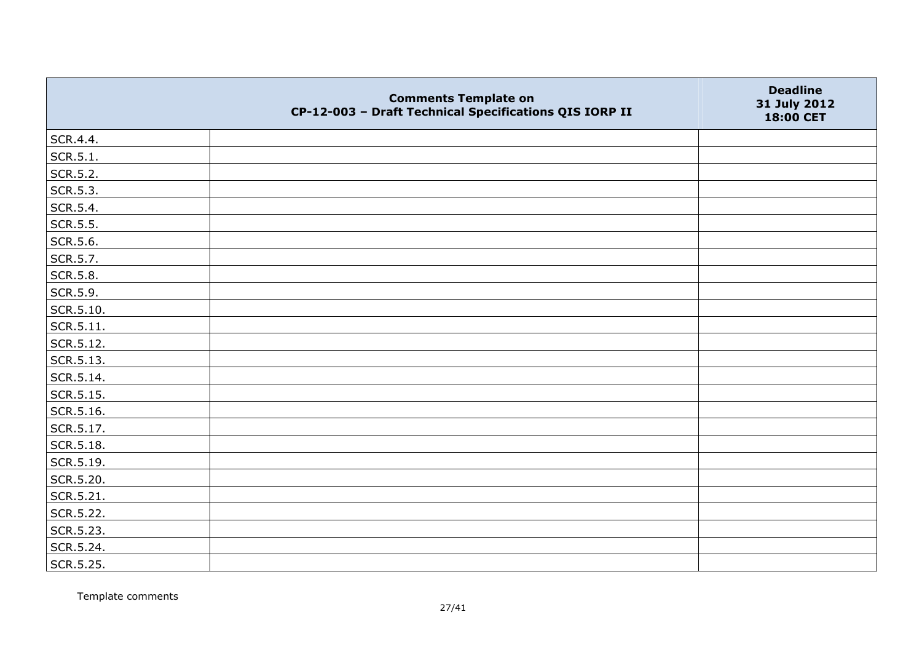|                   | <b>Comments Template on</b><br>CP-12-003 - Draft Technical Specifications QIS IORP II | <b>Deadline</b><br>31 July 2012<br>18:00 CET |
|-------------------|---------------------------------------------------------------------------------------|----------------------------------------------|
| SCR.4.4.          |                                                                                       |                                              |
| SCR.5.1.          |                                                                                       |                                              |
| SCR.5.2.          |                                                                                       |                                              |
| SCR.5.3.          |                                                                                       |                                              |
| SCR.5.4.          |                                                                                       |                                              |
| SCR.5.5.          |                                                                                       |                                              |
| SCR.5.6.          |                                                                                       |                                              |
| SCR.5.7.          |                                                                                       |                                              |
| SCR.5.8.          |                                                                                       |                                              |
| SCR.5.9.          |                                                                                       |                                              |
| SCR.5.10.         |                                                                                       |                                              |
| $\vert$ SCR.5.11. |                                                                                       |                                              |
| SCR.5.12.         |                                                                                       |                                              |
| SCR.5.13.         |                                                                                       |                                              |
| SCR.5.14.         |                                                                                       |                                              |
| SCR.5.15.         |                                                                                       |                                              |
| SCR.5.16.         |                                                                                       |                                              |
| SCR.5.17.         |                                                                                       |                                              |
| SCR.5.18.         |                                                                                       |                                              |
| SCR.5.19.         |                                                                                       |                                              |
| SCR.5.20.         |                                                                                       |                                              |
| SCR.5.21.         |                                                                                       |                                              |
| SCR.5.22.         |                                                                                       |                                              |
| SCR.5.23.         |                                                                                       |                                              |
| SCR.5.24.         |                                                                                       |                                              |
| SCR.5.25.         |                                                                                       |                                              |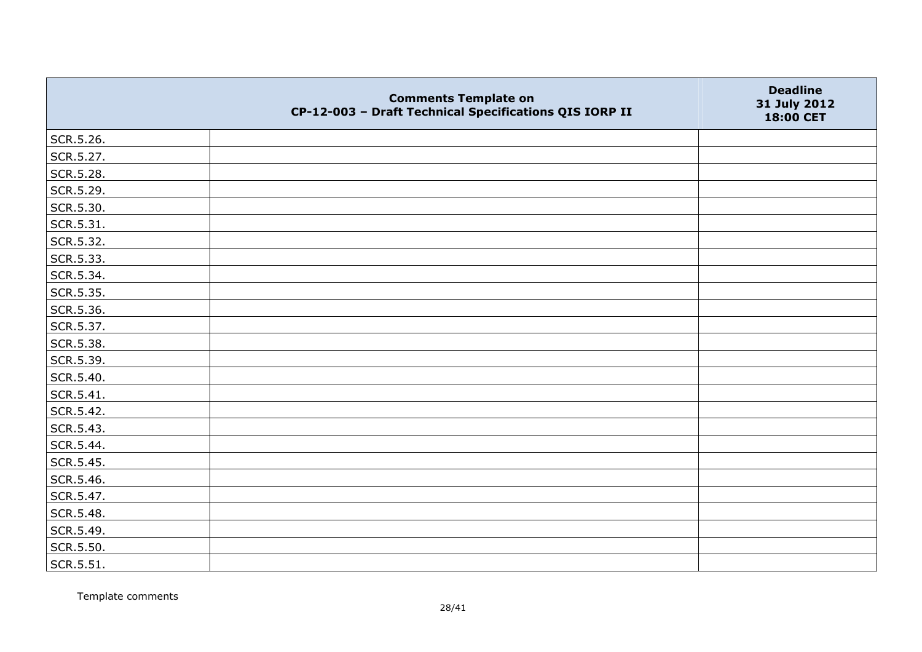|                   | <b>Comments Template on</b><br>CP-12-003 - Draft Technical Specifications QIS IORP II | <b>Deadline</b><br>31 July 2012<br>18:00 CET |
|-------------------|---------------------------------------------------------------------------------------|----------------------------------------------|
| SCR.5.26.         |                                                                                       |                                              |
| SCR.5.27.         |                                                                                       |                                              |
| SCR.5.28.         |                                                                                       |                                              |
| SCR.5.29.         |                                                                                       |                                              |
| SCR.5.30.         |                                                                                       |                                              |
| $\vert$ SCR.5.31. |                                                                                       |                                              |
| SCR.5.32.         |                                                                                       |                                              |
| SCR.5.33.         |                                                                                       |                                              |
| SCR.5.34.         |                                                                                       |                                              |
| SCR.5.35.         |                                                                                       |                                              |
| SCR.5.36.         |                                                                                       |                                              |
| SCR.5.37.         |                                                                                       |                                              |
| SCR.5.38.         |                                                                                       |                                              |
| SCR.5.39.         |                                                                                       |                                              |
| SCR.5.40.         |                                                                                       |                                              |
| SCR.5.41.         |                                                                                       |                                              |
| SCR.5.42.         |                                                                                       |                                              |
| SCR.5.43.         |                                                                                       |                                              |
| SCR.5.44.         |                                                                                       |                                              |
| SCR.5.45.         |                                                                                       |                                              |
| SCR.5.46.         |                                                                                       |                                              |
| SCR.5.47.         |                                                                                       |                                              |
| SCR.5.48.         |                                                                                       |                                              |
| SCR.5.49.         |                                                                                       |                                              |
| SCR.5.50.         |                                                                                       |                                              |
| SCR.5.51.         |                                                                                       |                                              |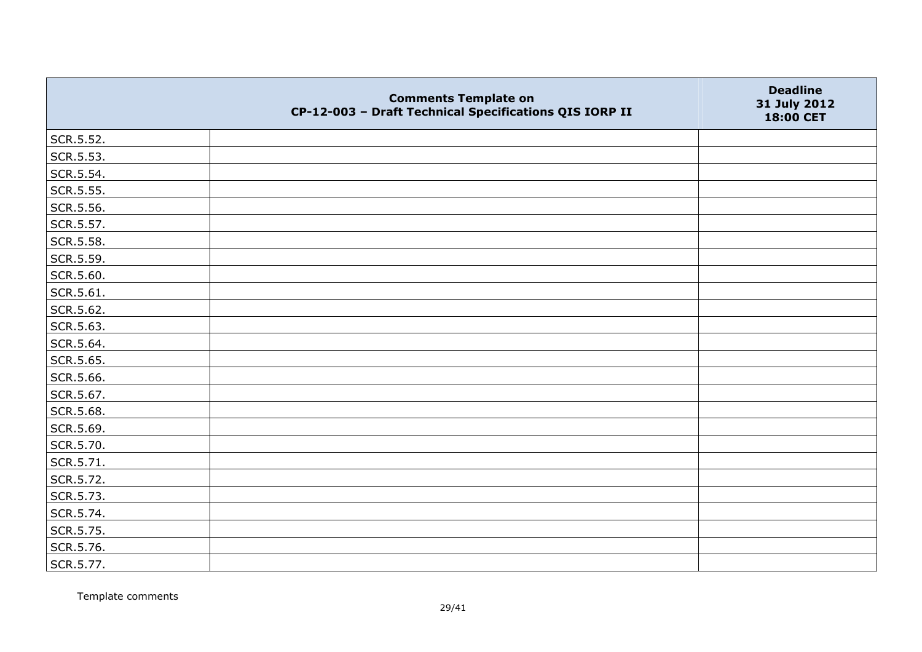|           | <b>Comments Template on</b><br>CP-12-003 - Draft Technical Specifications QIS IORP II | <b>Deadline</b><br>31 July 2012<br>18:00 CET |
|-----------|---------------------------------------------------------------------------------------|----------------------------------------------|
| SCR.5.52. |                                                                                       |                                              |
| SCR.5.53. |                                                                                       |                                              |
| SCR.5.54. |                                                                                       |                                              |
| SCR.5.55. |                                                                                       |                                              |
| SCR.5.56. |                                                                                       |                                              |
| SCR.5.57. |                                                                                       |                                              |
| SCR.5.58. |                                                                                       |                                              |
| SCR.5.59. |                                                                                       |                                              |
| SCR.5.60. |                                                                                       |                                              |
| SCR.5.61. |                                                                                       |                                              |
| SCR.5.62. |                                                                                       |                                              |
| SCR.5.63. |                                                                                       |                                              |
| SCR.5.64. |                                                                                       |                                              |
| SCR.5.65. |                                                                                       |                                              |
| SCR.5.66. |                                                                                       |                                              |
| SCR.5.67. |                                                                                       |                                              |
| SCR.5.68. |                                                                                       |                                              |
| SCR.5.69. |                                                                                       |                                              |
| SCR.5.70. |                                                                                       |                                              |
| SCR.5.71. |                                                                                       |                                              |
| SCR.5.72. |                                                                                       |                                              |
| SCR.5.73. |                                                                                       |                                              |
| SCR.5.74. |                                                                                       |                                              |
| SCR.5.75. |                                                                                       |                                              |
| SCR.5.76. |                                                                                       |                                              |
| SCR.5.77. |                                                                                       |                                              |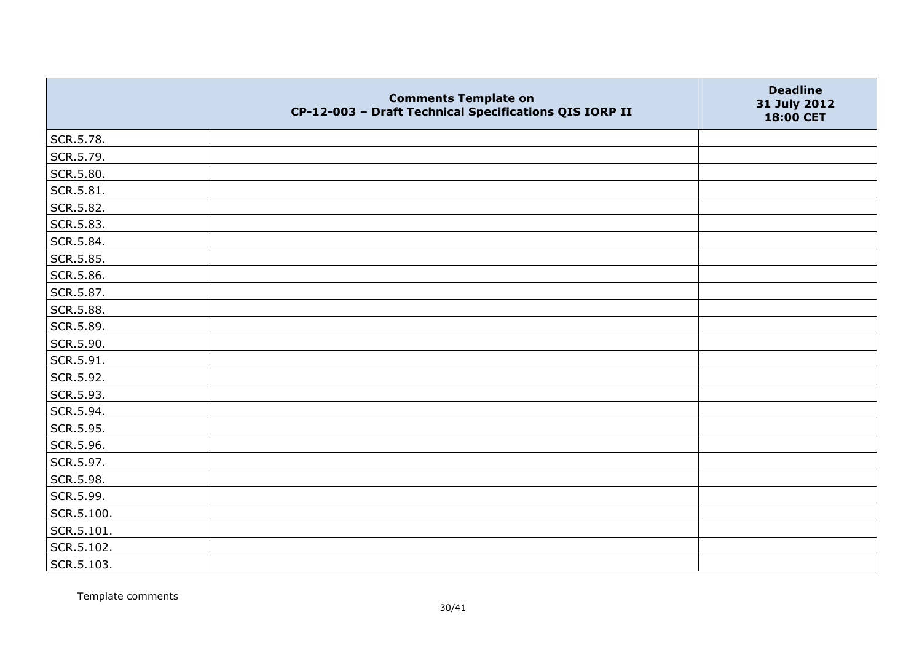|            | <b>Comments Template on</b><br>CP-12-003 - Draft Technical Specifications QIS IORP II | <b>Deadline</b><br>31 July 2012<br>18:00 CET |
|------------|---------------------------------------------------------------------------------------|----------------------------------------------|
| SCR.5.78.  |                                                                                       |                                              |
| SCR.5.79.  |                                                                                       |                                              |
| SCR.5.80.  |                                                                                       |                                              |
| SCR.5.81.  |                                                                                       |                                              |
| SCR.5.82.  |                                                                                       |                                              |
| SCR.5.83.  |                                                                                       |                                              |
| SCR.5.84.  |                                                                                       |                                              |
| SCR.5.85.  |                                                                                       |                                              |
| SCR.5.86.  |                                                                                       |                                              |
| SCR.5.87.  |                                                                                       |                                              |
| SCR.5.88.  |                                                                                       |                                              |
| SCR.5.89.  |                                                                                       |                                              |
| SCR.5.90.  |                                                                                       |                                              |
| SCR.5.91.  |                                                                                       |                                              |
| SCR.5.92.  |                                                                                       |                                              |
| SCR.5.93.  |                                                                                       |                                              |
| SCR.5.94.  |                                                                                       |                                              |
| SCR.5.95.  |                                                                                       |                                              |
| SCR.5.96.  |                                                                                       |                                              |
| SCR.5.97.  |                                                                                       |                                              |
| SCR.5.98.  |                                                                                       |                                              |
| SCR.5.99.  |                                                                                       |                                              |
| SCR.5.100. |                                                                                       |                                              |
| SCR.5.101. |                                                                                       |                                              |
| SCR.5.102. |                                                                                       |                                              |
| SCR.5.103. |                                                                                       |                                              |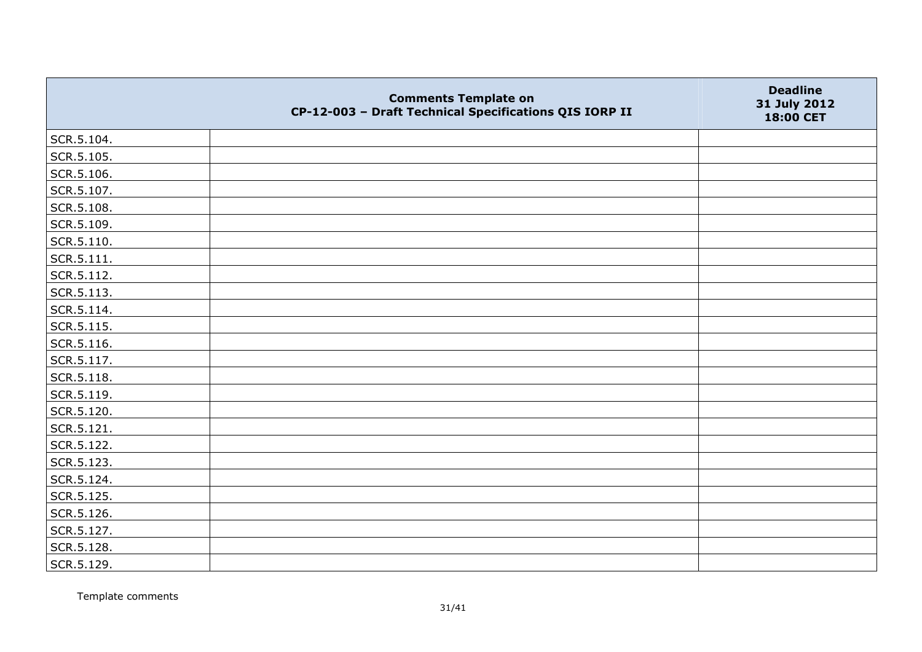|                | <b>Comments Template on</b><br>CP-12-003 - Draft Technical Specifications QIS IORP II | <b>Deadline</b><br>31 July 2012<br>18:00 CET |
|----------------|---------------------------------------------------------------------------------------|----------------------------------------------|
| SCR.5.104.     |                                                                                       |                                              |
| SCR.5.105.     |                                                                                       |                                              |
| SCR.5.106.     |                                                                                       |                                              |
| SCR.5.107.     |                                                                                       |                                              |
| SCR.5.108.     |                                                                                       |                                              |
| SCR.5.109.     |                                                                                       |                                              |
| SCR.5.110.     |                                                                                       |                                              |
| $ $ SCR.5.111. |                                                                                       |                                              |
| SCR.5.112.     |                                                                                       |                                              |
| SCR.5.113.     |                                                                                       |                                              |
| $ $ SCR.5.114. |                                                                                       |                                              |
| SCR.5.115.     |                                                                                       |                                              |
| SCR.5.116.     |                                                                                       |                                              |
| SCR.5.117.     |                                                                                       |                                              |
| SCR.5.118.     |                                                                                       |                                              |
| SCR.5.119.     |                                                                                       |                                              |
| SCR.5.120.     |                                                                                       |                                              |
| SCR.5.121.     |                                                                                       |                                              |
| SCR.5.122.     |                                                                                       |                                              |
| SCR.5.123.     |                                                                                       |                                              |
| SCR.5.124.     |                                                                                       |                                              |
| SCR.5.125.     |                                                                                       |                                              |
| SCR.5.126.     |                                                                                       |                                              |
| SCR.5.127.     |                                                                                       |                                              |
| SCR.5.128.     |                                                                                       |                                              |
| SCR.5.129.     |                                                                                       |                                              |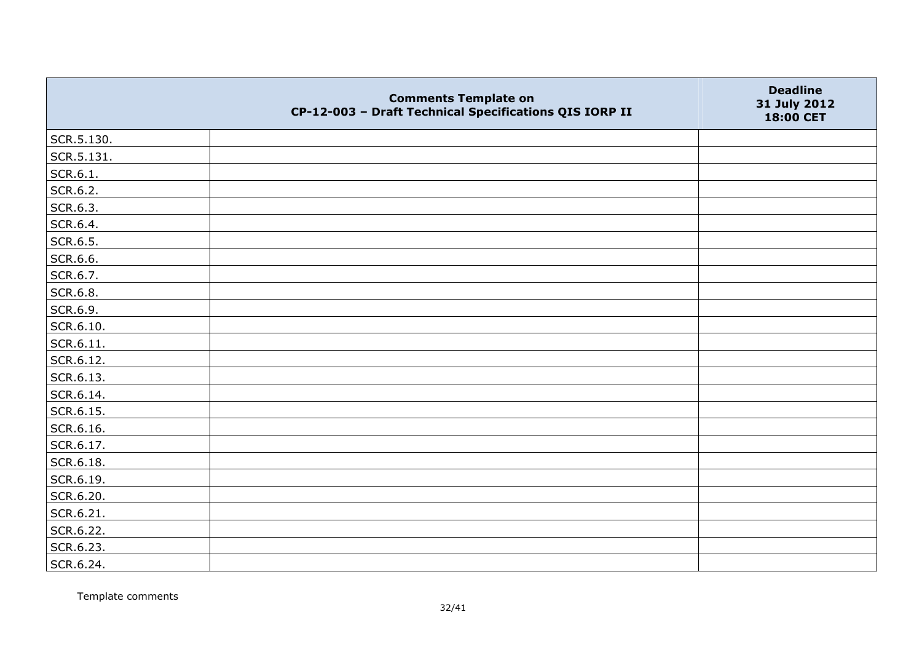|            | <b>Comments Template on</b><br>CP-12-003 - Draft Technical Specifications QIS IORP II | <b>Deadline</b><br>31 July 2012<br>18:00 CET |
|------------|---------------------------------------------------------------------------------------|----------------------------------------------|
| SCR.5.130. |                                                                                       |                                              |
| SCR.5.131. |                                                                                       |                                              |
| SCR.6.1.   |                                                                                       |                                              |
| SCR.6.2.   |                                                                                       |                                              |
| SCR.6.3.   |                                                                                       |                                              |
| SCR.6.4.   |                                                                                       |                                              |
| SCR.6.5.   |                                                                                       |                                              |
| SCR.6.6.   |                                                                                       |                                              |
| SCR.6.7.   |                                                                                       |                                              |
| SCR.6.8.   |                                                                                       |                                              |
| SCR.6.9.   |                                                                                       |                                              |
| SCR.6.10.  |                                                                                       |                                              |
| SCR.6.11.  |                                                                                       |                                              |
| SCR.6.12.  |                                                                                       |                                              |
| SCR.6.13.  |                                                                                       |                                              |
| SCR.6.14.  |                                                                                       |                                              |
| SCR.6.15.  |                                                                                       |                                              |
| SCR.6.16.  |                                                                                       |                                              |
| SCR.6.17.  |                                                                                       |                                              |
| SCR.6.18.  |                                                                                       |                                              |
| SCR.6.19.  |                                                                                       |                                              |
| SCR.6.20.  |                                                                                       |                                              |
| SCR.6.21.  |                                                                                       |                                              |
| SCR.6.22.  |                                                                                       |                                              |
| SCR.6.23.  |                                                                                       |                                              |
| SCR.6.24.  |                                                                                       |                                              |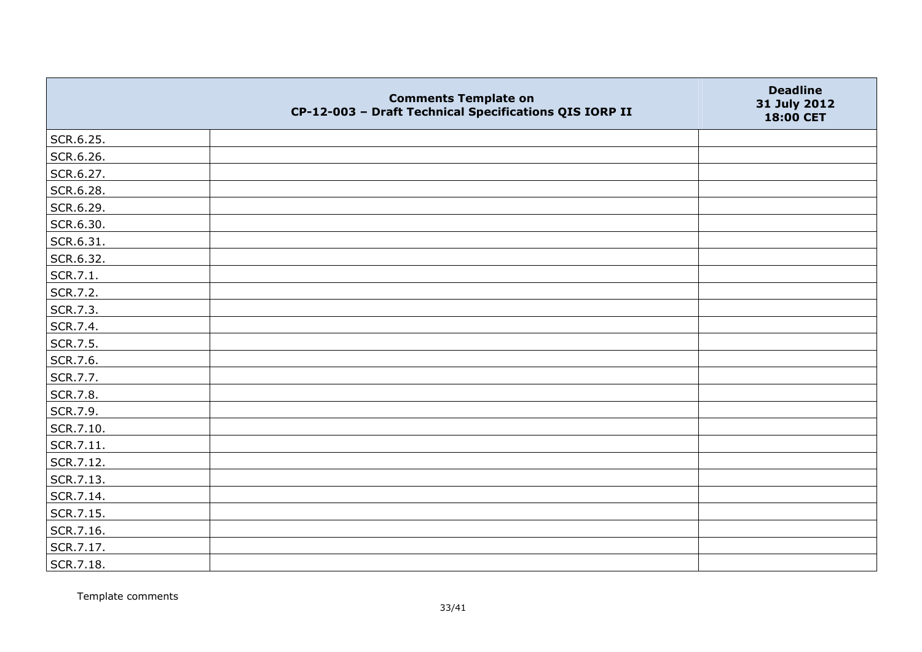|           | <b>Comments Template on</b><br>CP-12-003 - Draft Technical Specifications QIS IORP II | <b>Deadline</b><br>31 July 2012<br>18:00 CET |
|-----------|---------------------------------------------------------------------------------------|----------------------------------------------|
| SCR.6.25. |                                                                                       |                                              |
| SCR.6.26. |                                                                                       |                                              |
| SCR.6.27. |                                                                                       |                                              |
| SCR.6.28. |                                                                                       |                                              |
| SCR.6.29. |                                                                                       |                                              |
| SCR.6.30. |                                                                                       |                                              |
| SCR.6.31. |                                                                                       |                                              |
| SCR.6.32. |                                                                                       |                                              |
| SCR.7.1.  |                                                                                       |                                              |
| SCR.7.2.  |                                                                                       |                                              |
| SCR.7.3.  |                                                                                       |                                              |
| SCR.7.4.  |                                                                                       |                                              |
| SCR.7.5.  |                                                                                       |                                              |
| SCR.7.6.  |                                                                                       |                                              |
| SCR.7.7.  |                                                                                       |                                              |
| SCR.7.8.  |                                                                                       |                                              |
| SCR.7.9.  |                                                                                       |                                              |
| SCR.7.10. |                                                                                       |                                              |
| SCR.7.11. |                                                                                       |                                              |
| SCR.7.12. |                                                                                       |                                              |
| SCR.7.13. |                                                                                       |                                              |
| SCR.7.14. |                                                                                       |                                              |
| SCR.7.15. |                                                                                       |                                              |
| SCR.7.16. |                                                                                       |                                              |
| SCR.7.17. |                                                                                       |                                              |
| SCR.7.18. |                                                                                       |                                              |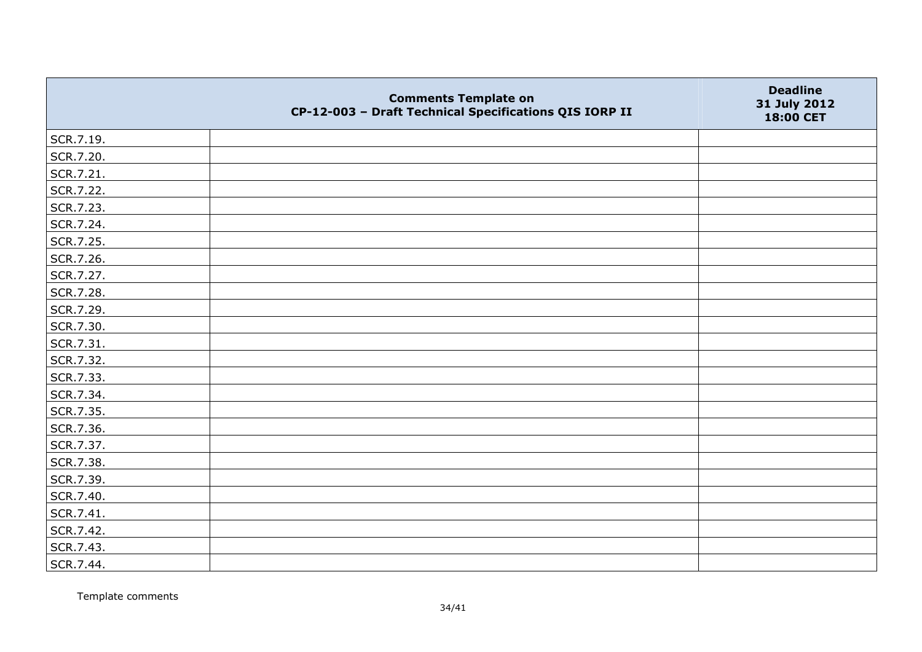|           | <b>Comments Template on</b><br>CP-12-003 - Draft Technical Specifications QIS IORP II | <b>Deadline</b><br>31 July 2012<br>18:00 CET |
|-----------|---------------------------------------------------------------------------------------|----------------------------------------------|
| SCR.7.19. |                                                                                       |                                              |
| SCR.7.20. |                                                                                       |                                              |
| SCR.7.21. |                                                                                       |                                              |
| SCR.7.22. |                                                                                       |                                              |
| SCR.7.23. |                                                                                       |                                              |
| SCR.7.24. |                                                                                       |                                              |
| SCR.7.25. |                                                                                       |                                              |
| SCR.7.26. |                                                                                       |                                              |
| SCR.7.27. |                                                                                       |                                              |
| SCR.7.28. |                                                                                       |                                              |
| SCR.7.29. |                                                                                       |                                              |
| SCR.7.30. |                                                                                       |                                              |
| SCR.7.31. |                                                                                       |                                              |
| SCR.7.32. |                                                                                       |                                              |
| SCR.7.33. |                                                                                       |                                              |
| SCR.7.34. |                                                                                       |                                              |
| SCR.7.35. |                                                                                       |                                              |
| SCR.7.36. |                                                                                       |                                              |
| SCR.7.37. |                                                                                       |                                              |
| SCR.7.38. |                                                                                       |                                              |
| SCR.7.39. |                                                                                       |                                              |
| SCR.7.40. |                                                                                       |                                              |
| SCR.7.41. |                                                                                       |                                              |
| SCR.7.42. |                                                                                       |                                              |
| SCR.7.43. |                                                                                       |                                              |
| SCR.7.44. |                                                                                       |                                              |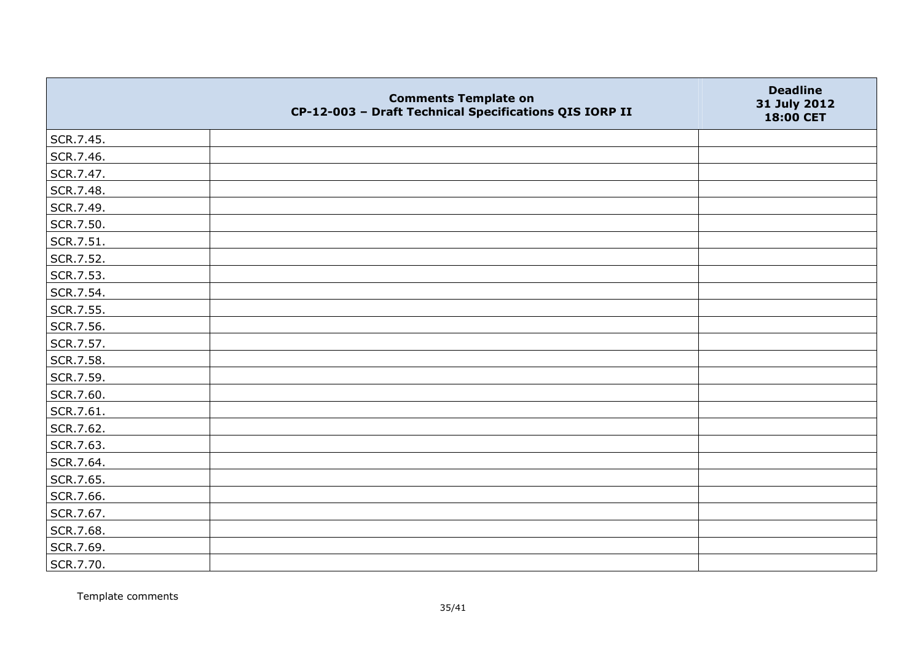|           | <b>Comments Template on</b><br>CP-12-003 - Draft Technical Specifications QIS IORP II | <b>Deadline</b><br>31 July 2012<br>18:00 CET |
|-----------|---------------------------------------------------------------------------------------|----------------------------------------------|
| SCR.7.45. |                                                                                       |                                              |
| SCR.7.46. |                                                                                       |                                              |
| SCR.7.47. |                                                                                       |                                              |
| SCR.7.48. |                                                                                       |                                              |
| SCR.7.49. |                                                                                       |                                              |
| SCR.7.50. |                                                                                       |                                              |
| SCR.7.51. |                                                                                       |                                              |
| SCR.7.52. |                                                                                       |                                              |
| SCR.7.53. |                                                                                       |                                              |
| SCR.7.54. |                                                                                       |                                              |
| SCR.7.55. |                                                                                       |                                              |
| SCR.7.56. |                                                                                       |                                              |
| SCR.7.57. |                                                                                       |                                              |
| SCR.7.58. |                                                                                       |                                              |
| SCR.7.59. |                                                                                       |                                              |
| SCR.7.60. |                                                                                       |                                              |
| SCR.7.61. |                                                                                       |                                              |
| SCR.7.62. |                                                                                       |                                              |
| SCR.7.63. |                                                                                       |                                              |
| SCR.7.64. |                                                                                       |                                              |
| SCR.7.65. |                                                                                       |                                              |
| SCR.7.66. |                                                                                       |                                              |
| SCR.7.67. |                                                                                       |                                              |
| SCR.7.68. |                                                                                       |                                              |
| SCR.7.69. |                                                                                       |                                              |
| SCR.7.70. |                                                                                       |                                              |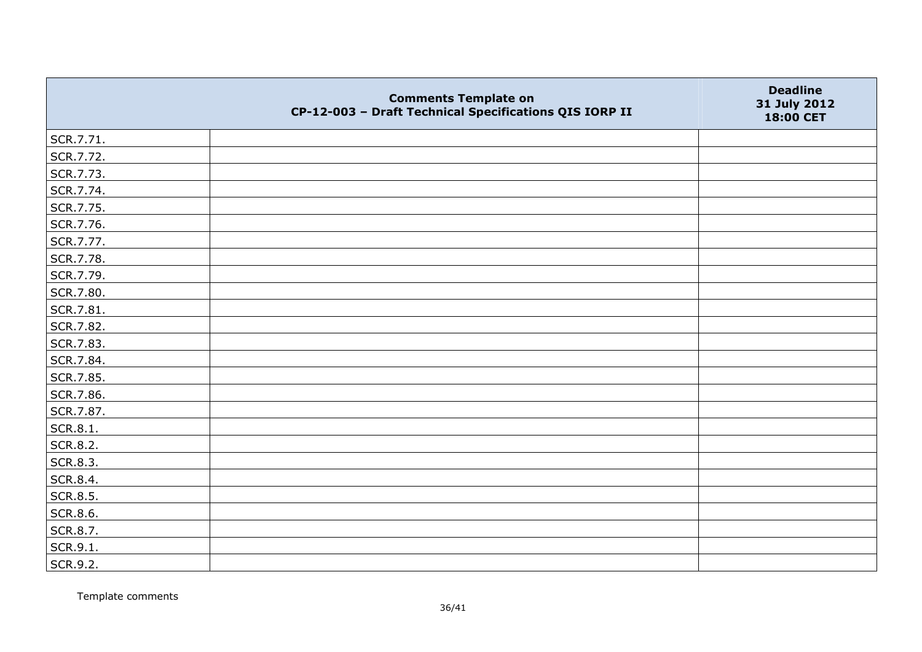|                 | <b>Comments Template on</b><br>CP-12-003 - Draft Technical Specifications QIS IORP II | <b>Deadline</b><br>31 July 2012<br>18:00 CET |
|-----------------|---------------------------------------------------------------------------------------|----------------------------------------------|
| SCR.7.71.       |                                                                                       |                                              |
| SCR.7.72.       |                                                                                       |                                              |
| SCR.7.73.       |                                                                                       |                                              |
| SCR.7.74.       |                                                                                       |                                              |
| SCR.7.75.       |                                                                                       |                                              |
| SCR.7.76.       |                                                                                       |                                              |
| SCR.7.77.       |                                                                                       |                                              |
| SCR.7.78.       |                                                                                       |                                              |
| SCR.7.79.       |                                                                                       |                                              |
| SCR.7.80.       |                                                                                       |                                              |
| SCR.7.81.       |                                                                                       |                                              |
| SCR.7.82.       |                                                                                       |                                              |
| SCR.7.83.       |                                                                                       |                                              |
| SCR.7.84.       |                                                                                       |                                              |
| SCR.7.85.       |                                                                                       |                                              |
| SCR.7.86.       |                                                                                       |                                              |
| SCR.7.87.       |                                                                                       |                                              |
| SCR.8.1.        |                                                                                       |                                              |
| <b>SCR.8.2.</b> |                                                                                       |                                              |
| <b>SCR.8.3.</b> |                                                                                       |                                              |
| SCR.8.4.        |                                                                                       |                                              |
| <b>SCR.8.5.</b> |                                                                                       |                                              |
| SCR.8.6.        |                                                                                       |                                              |
| SCR.8.7.        |                                                                                       |                                              |
| SCR.9.1.        |                                                                                       |                                              |
| SCR.9.2.        |                                                                                       |                                              |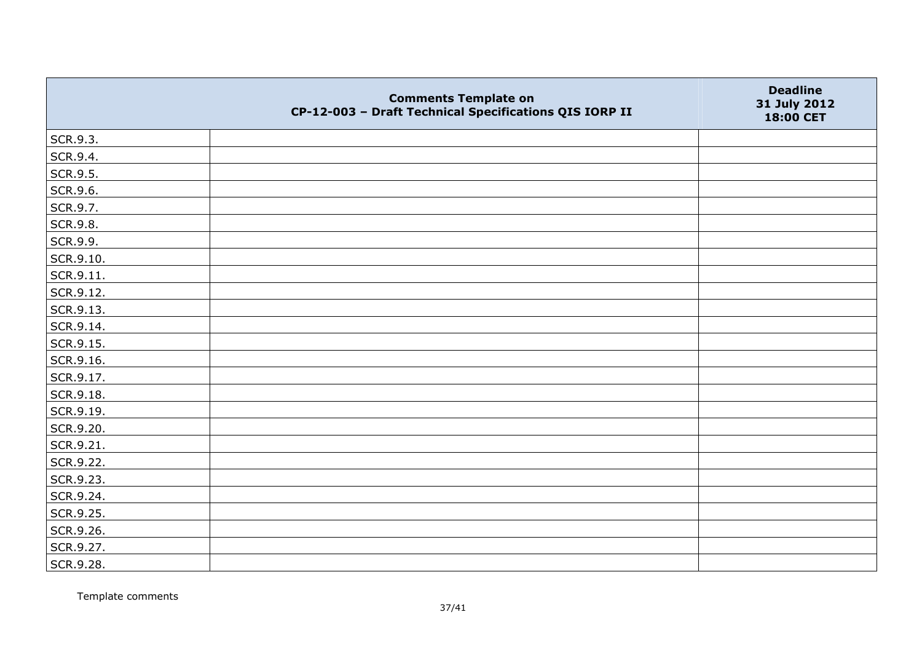|           | <b>Comments Template on</b><br>CP-12-003 - Draft Technical Specifications QIS IORP II | <b>Deadline</b><br>31 July 2012<br>18:00 CET |
|-----------|---------------------------------------------------------------------------------------|----------------------------------------------|
| SCR.9.3.  |                                                                                       |                                              |
| SCR.9.4.  |                                                                                       |                                              |
| SCR.9.5.  |                                                                                       |                                              |
| SCR.9.6.  |                                                                                       |                                              |
| SCR.9.7.  |                                                                                       |                                              |
| SCR.9.8.  |                                                                                       |                                              |
| SCR.9.9.  |                                                                                       |                                              |
| SCR.9.10. |                                                                                       |                                              |
| SCR.9.11. |                                                                                       |                                              |
| SCR.9.12. |                                                                                       |                                              |
| SCR.9.13. |                                                                                       |                                              |
| SCR.9.14. |                                                                                       |                                              |
| SCR.9.15. |                                                                                       |                                              |
| SCR.9.16. |                                                                                       |                                              |
| SCR.9.17. |                                                                                       |                                              |
| SCR.9.18. |                                                                                       |                                              |
| SCR.9.19. |                                                                                       |                                              |
| SCR.9.20. |                                                                                       |                                              |
| SCR.9.21. |                                                                                       |                                              |
| SCR.9.22. |                                                                                       |                                              |
| SCR.9.23. |                                                                                       |                                              |
| SCR.9.24. |                                                                                       |                                              |
| SCR.9.25. |                                                                                       |                                              |
| SCR.9.26. |                                                                                       |                                              |
| SCR.9.27. |                                                                                       |                                              |
| SCR.9.28. |                                                                                       |                                              |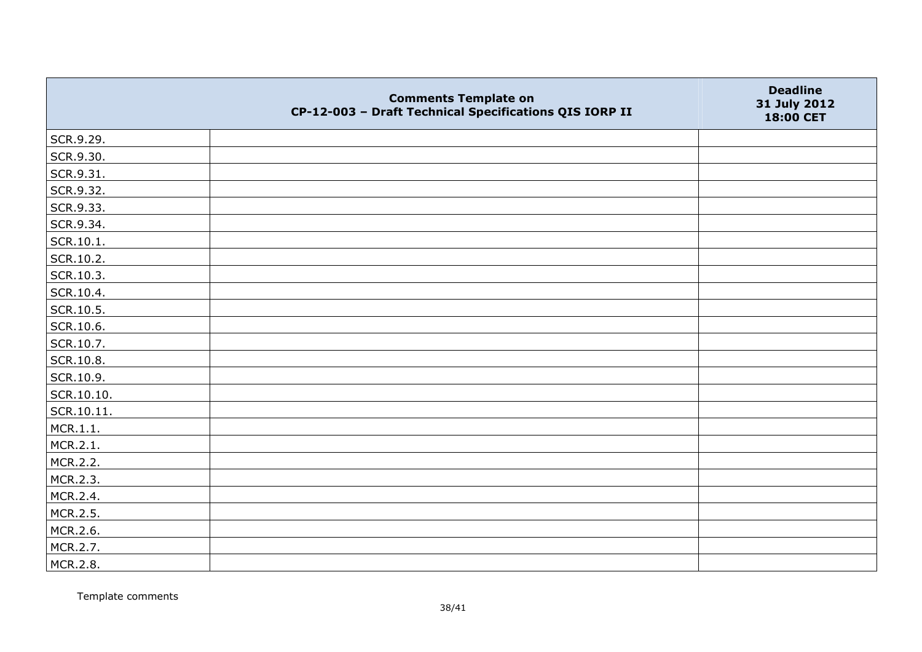|            | <b>Comments Template on</b><br>CP-12-003 - Draft Technical Specifications QIS IORP II | <b>Deadline</b><br>31 July 2012<br>18:00 CET |
|------------|---------------------------------------------------------------------------------------|----------------------------------------------|
| SCR.9.29.  |                                                                                       |                                              |
| SCR.9.30.  |                                                                                       |                                              |
| SCR.9.31.  |                                                                                       |                                              |
| SCR.9.32.  |                                                                                       |                                              |
| SCR.9.33.  |                                                                                       |                                              |
| SCR.9.34.  |                                                                                       |                                              |
| SCR.10.1.  |                                                                                       |                                              |
| SCR.10.2.  |                                                                                       |                                              |
| SCR.10.3.  |                                                                                       |                                              |
| SCR.10.4.  |                                                                                       |                                              |
| SCR.10.5.  |                                                                                       |                                              |
| SCR.10.6.  |                                                                                       |                                              |
| SCR.10.7.  |                                                                                       |                                              |
| SCR.10.8.  |                                                                                       |                                              |
| SCR.10.9.  |                                                                                       |                                              |
| SCR.10.10. |                                                                                       |                                              |
| SCR.10.11. |                                                                                       |                                              |
| MCR.1.1.   |                                                                                       |                                              |
| MCR.2.1.   |                                                                                       |                                              |
| MCR.2.2.   |                                                                                       |                                              |
| MCR.2.3.   |                                                                                       |                                              |
| MCR.2.4.   |                                                                                       |                                              |
| MCR.2.5.   |                                                                                       |                                              |
| MCR.2.6.   |                                                                                       |                                              |
| MCR.2.7.   |                                                                                       |                                              |
| MCR.2.8.   |                                                                                       |                                              |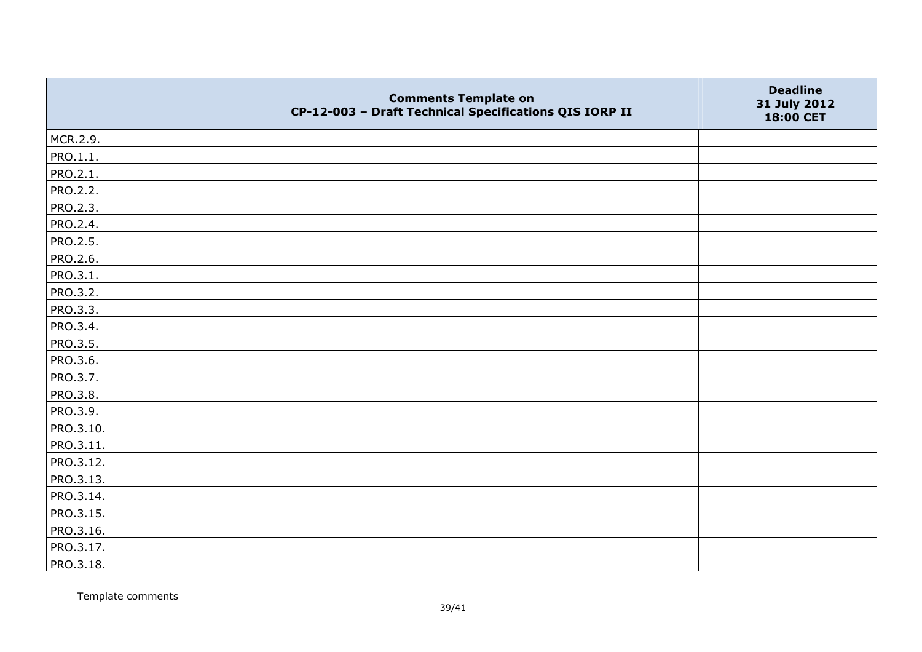|                 | <b>Comments Template on</b><br>CP-12-003 - Draft Technical Specifications QIS IORP II | <b>Deadline</b><br>31 July 2012<br>18:00 CET |
|-----------------|---------------------------------------------------------------------------------------|----------------------------------------------|
| MCR.2.9.        |                                                                                       |                                              |
| PRO.1.1.        |                                                                                       |                                              |
| PRO.2.1.        |                                                                                       |                                              |
| PRO.2.2.        |                                                                                       |                                              |
| PRO.2.3.        |                                                                                       |                                              |
| PRO.2.4.        |                                                                                       |                                              |
| PRO.2.5.        |                                                                                       |                                              |
| PRO.2.6.        |                                                                                       |                                              |
| PRO.3.1.        |                                                                                       |                                              |
| PRO.3.2.        |                                                                                       |                                              |
| PRO.3.3.        |                                                                                       |                                              |
| PRO.3.4.        |                                                                                       |                                              |
| <b>PRO.3.5.</b> |                                                                                       |                                              |
| PRO.3.6.        |                                                                                       |                                              |
| PRO.3.7.        |                                                                                       |                                              |
| PRO.3.8.        |                                                                                       |                                              |
| PRO.3.9.        |                                                                                       |                                              |
| PRO.3.10.       |                                                                                       |                                              |
| PRO.3.11.       |                                                                                       |                                              |
| PRO.3.12.       |                                                                                       |                                              |
| PRO.3.13.       |                                                                                       |                                              |
| PRO.3.14.       |                                                                                       |                                              |
| PRO.3.15.       |                                                                                       |                                              |
| PRO.3.16.       |                                                                                       |                                              |
| PRO.3.17.       |                                                                                       |                                              |
| PRO.3.18.       |                                                                                       |                                              |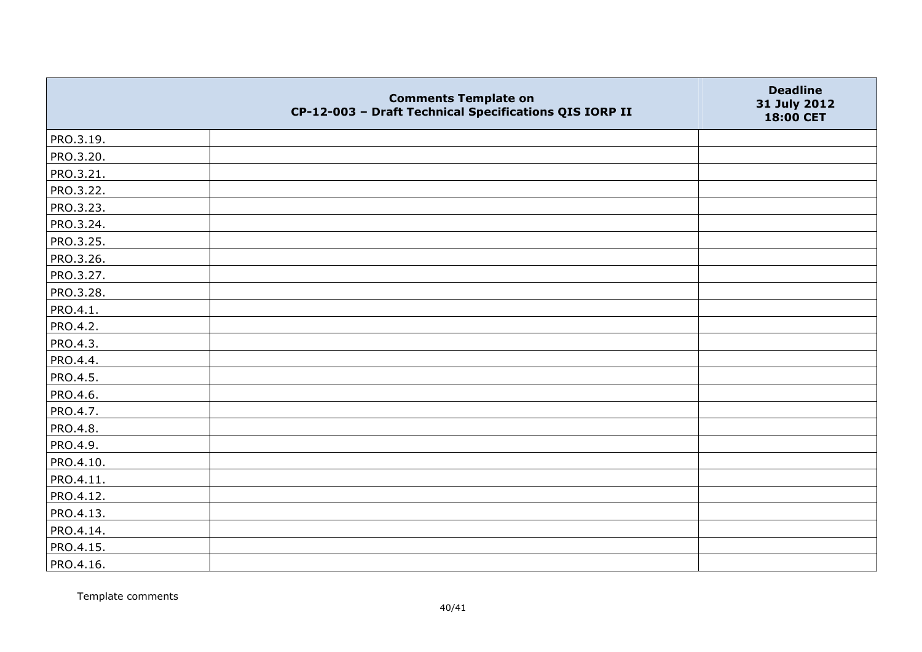|           | <b>Comments Template on</b><br>CP-12-003 - Draft Technical Specifications QIS IORP II | <b>Deadline</b><br>31 July 2012<br>18:00 CET |
|-----------|---------------------------------------------------------------------------------------|----------------------------------------------|
| PRO.3.19. |                                                                                       |                                              |
| PRO.3.20. |                                                                                       |                                              |
| PRO.3.21. |                                                                                       |                                              |
| PRO.3.22. |                                                                                       |                                              |
| PRO.3.23. |                                                                                       |                                              |
| PRO.3.24. |                                                                                       |                                              |
| PRO.3.25. |                                                                                       |                                              |
| PRO.3.26. |                                                                                       |                                              |
| PRO.3.27. |                                                                                       |                                              |
| PRO.3.28. |                                                                                       |                                              |
| PRO.4.1.  |                                                                                       |                                              |
| PRO.4.2.  |                                                                                       |                                              |
| PRO.4.3.  |                                                                                       |                                              |
| PRO.4.4.  |                                                                                       |                                              |
| PRO.4.5.  |                                                                                       |                                              |
| PRO.4.6.  |                                                                                       |                                              |
| PRO.4.7.  |                                                                                       |                                              |
| PRO.4.8.  |                                                                                       |                                              |
| PRO.4.9.  |                                                                                       |                                              |
| PRO.4.10. |                                                                                       |                                              |
| PRO.4.11. |                                                                                       |                                              |
| PRO.4.12. |                                                                                       |                                              |
| PRO.4.13. |                                                                                       |                                              |
| PRO.4.14. |                                                                                       |                                              |
| PRO.4.15. |                                                                                       |                                              |
| PRO.4.16. |                                                                                       |                                              |